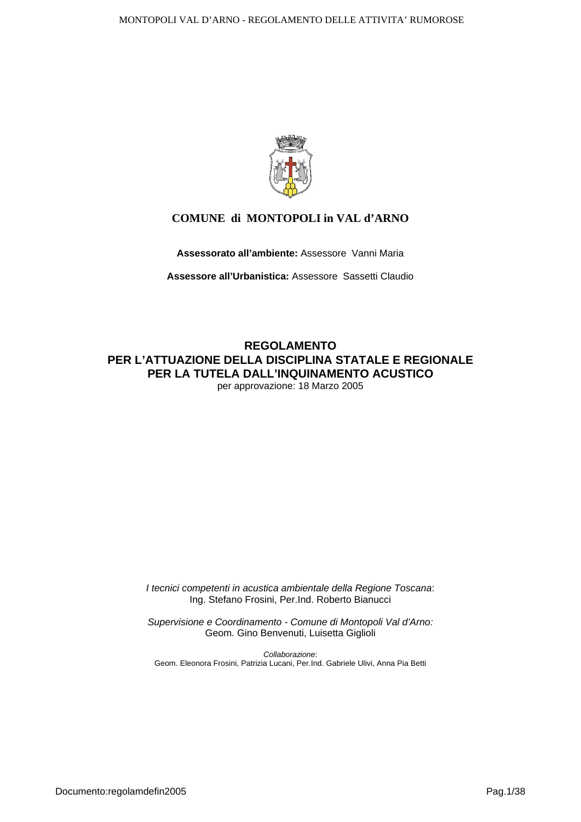

### **COMUNE di MONTOPOLI in VAL d'ARNO**

**Assessorato all'ambiente:** Assessore Vanni Maria

**Assessore all'Urbanistica:** Assessore Sassetti Claudio

**REGOLAMENTO PER L'ATTUAZIONE DELLA DISCIPLINA STATALE E REGIONALE PER LA TUTELA DALL'INQUINAMENTO ACUSTICO**  per approvazione: 18 Marzo 2005

> *I tecnici competenti in acustica ambientale della Regione Toscana*: Ing. Stefano Frosini, Per.Ind. Roberto Bianucci

> *Supervisione e Coordinamento - Comune di Montopoli Val d'Arno:*  Geom. Gino Benvenuti, Luisetta Giglioli

*Collaborazione*: Geom. Eleonora Frosini, Patrizia Lucani, Per.Ind. Gabriele Ulivi, Anna Pia Betti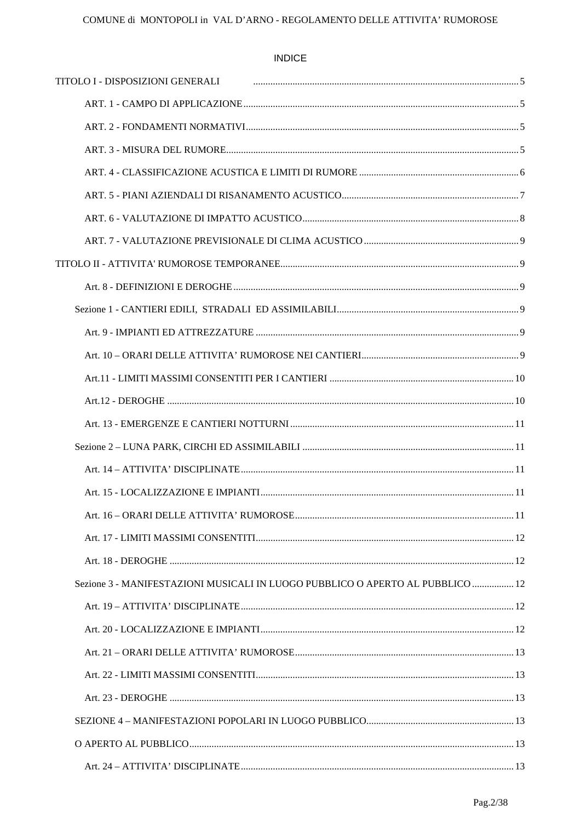**INDICE** 

| TITOLO I - DISPOSIZIONI GENERALI                                               |  |
|--------------------------------------------------------------------------------|--|
|                                                                                |  |
|                                                                                |  |
|                                                                                |  |
|                                                                                |  |
|                                                                                |  |
|                                                                                |  |
|                                                                                |  |
|                                                                                |  |
|                                                                                |  |
|                                                                                |  |
|                                                                                |  |
|                                                                                |  |
|                                                                                |  |
|                                                                                |  |
|                                                                                |  |
|                                                                                |  |
|                                                                                |  |
|                                                                                |  |
|                                                                                |  |
|                                                                                |  |
|                                                                                |  |
| Sezione 3 - MANIFESTAZIONI MUSICALI IN LUOGO PUBBLICO O APERTO AL PUBBLICO  12 |  |
|                                                                                |  |
|                                                                                |  |
|                                                                                |  |
|                                                                                |  |
|                                                                                |  |
|                                                                                |  |
|                                                                                |  |
|                                                                                |  |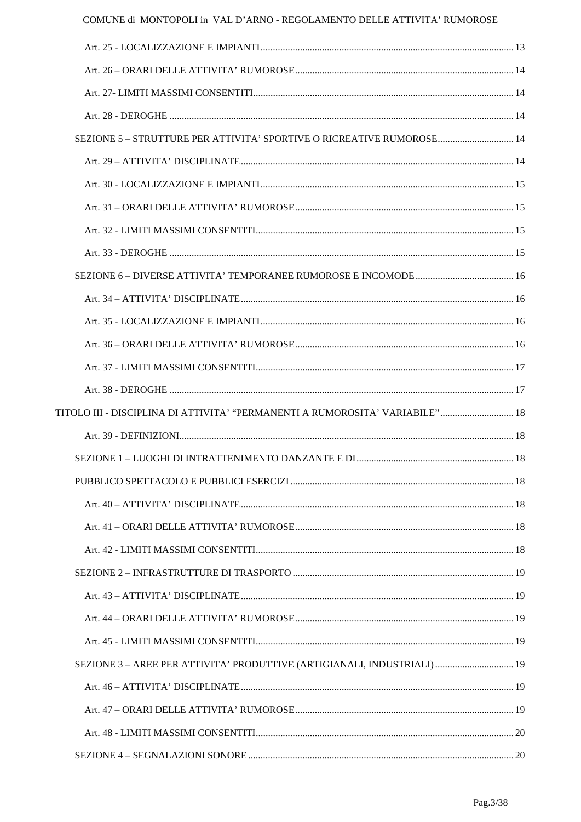| SEZIONE 5 - STRUTTURE PER ATTIVITA' SPORTIVE O RICREATIVE RUMOROSE 14        |  |
|------------------------------------------------------------------------------|--|
|                                                                              |  |
|                                                                              |  |
|                                                                              |  |
|                                                                              |  |
|                                                                              |  |
|                                                                              |  |
|                                                                              |  |
|                                                                              |  |
|                                                                              |  |
|                                                                              |  |
|                                                                              |  |
| TITOLO III - DISCIPLINA DI ATTIVITA' "PERMANENTI A RUMOROSITA' VARIABILE" 18 |  |
|                                                                              |  |
|                                                                              |  |
|                                                                              |  |
|                                                                              |  |
|                                                                              |  |
|                                                                              |  |
|                                                                              |  |
|                                                                              |  |
|                                                                              |  |
|                                                                              |  |
| SEZIONE 3 - AREE PER ATTIVITA' PRODUTTIVE (ARTIGIANALI, INDUSTRIALI)  19     |  |
|                                                                              |  |
|                                                                              |  |
|                                                                              |  |
|                                                                              |  |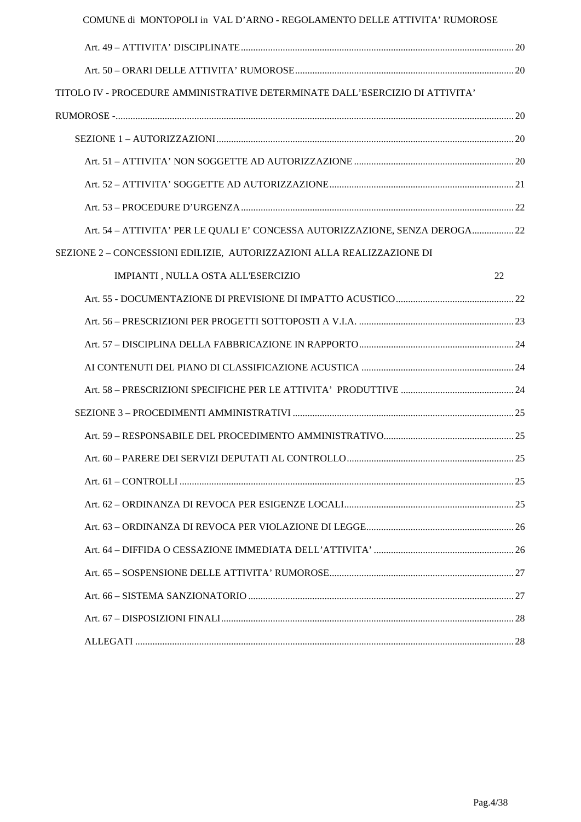| COMUNE di MONTOPOLI in VAL D'ARNO - REGOLAMENTO DELLE ATTIVITA' RUMOROSE     |    |
|------------------------------------------------------------------------------|----|
|                                                                              |    |
|                                                                              |    |
| TITOLO IV - PROCEDURE AMMINISTRATIVE DETERMINATE DALL'ESERCIZIO DI ATTIVITA' |    |
|                                                                              |    |
|                                                                              |    |
|                                                                              |    |
|                                                                              |    |
|                                                                              |    |
| Art. 54 - ATTIVITA' PER LE QUALI E' CONCESSA AUTORIZZAZIONE, SENZA DEROGA 22 |    |
| SEZIONE 2 – CONCESSIONI EDILIZIE, AUTORIZZAZIONI ALLA REALIZZAZIONE DI       |    |
| IMPIANTI, NULLA OSTA ALL'ESERCIZIO                                           | 22 |
|                                                                              |    |
|                                                                              |    |
|                                                                              |    |
|                                                                              |    |
|                                                                              |    |
|                                                                              |    |
|                                                                              |    |
|                                                                              |    |
|                                                                              |    |
|                                                                              |    |
|                                                                              |    |
|                                                                              |    |
|                                                                              |    |
|                                                                              |    |
|                                                                              |    |
|                                                                              |    |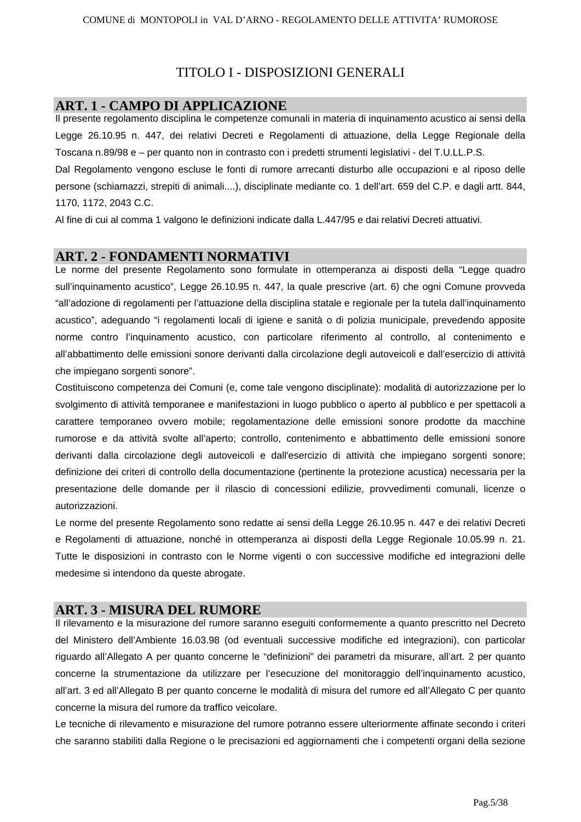### TITOLO I - DISPOSIZIONI GENERALI

### **ART. 1 - CAMPO DI APPLICAZIONE**

Il presente regolamento disciplina le competenze comunali in materia di inquinamento acustico ai sensi della Legge 26.10.95 n. 447, dei relativi Decreti e Regolamenti di attuazione, della Legge Regionale della Toscana n.89/98 e – per quanto non in contrasto con i predetti strumenti legislativi - del T.U.LL.P.S.

Dal Regolamento vengono escluse le fonti di rumore arrecanti disturbo alle occupazioni e al riposo delle persone (schiamazzi, strepiti di animali....), disciplinate mediante co. 1 dell'art. 659 del C.P. e dagli artt. 844, 1170, 1172, 2043 C.C.

Al fine di cui al comma 1 valgono le definizioni indicate dalla L.447/95 e dai relativi Decreti attuativi.

#### **ART. 2 - FONDAMENTI NORMATIVI**

Le norme del presente Regolamento sono formulate in ottemperanza ai disposti della "Legge quadro sull'inquinamento acustico", Legge 26.10.95 n. 447, la quale prescrive (art. 6) che ogni Comune provveda "all'adozione di regolamenti per l'attuazione della disciplina statale e regionale per la tutela dall'inquinamento acustico", adeguando "i regolamenti locali di igiene e sanità o di polizia municipale, prevedendo apposite norme contro l'inquinamento acustico, con particolare riferimento al controllo, al contenimento e all'abbattimento delle emissioni sonore derivanti dalla circolazione degli autoveicoli e dall'esercizio di attività che impiegano sorgenti sonore".

Costituiscono competenza dei Comuni (e, come tale vengono disciplinate): modalità di autorizzazione per lo svolgimento di attività temporanee e manifestazioni in luogo pubblico o aperto al pubblico e per spettacoli a carattere temporaneo ovvero mobile; regolamentazione delle emissioni sonore prodotte da macchine rumorose e da attività svolte all'aperto; controllo, contenimento e abbattimento delle emissioni sonore derivanti dalla circolazione degli autoveicoli e dall'esercizio di attività che impiegano sorgenti sonore; definizione dei criteri di controllo della documentazione (pertinente la protezione acustica) necessaria per la presentazione delle domande per il rilascio di concessioni edilizie, provvedimenti comunali, licenze o autorizzazioni.

Le norme del presente Regolamento sono redatte ai sensi della Legge 26.10.95 n. 447 e dei relativi Decreti e Regolamenti di attuazione, nonché in ottemperanza ai disposti della Legge Regionale 10.05.99 n. 21. Tutte le disposizioni in contrasto con le Norme vigenti o con successive modifiche ed integrazioni delle medesime si intendono da queste abrogate.

### **ART. 3 - MISURA DEL RUMORE**

Il rilevamento e la misurazione del rumore saranno eseguiti conformemente a quanto prescritto nel Decreto del Ministero dell'Ambiente 16.03.98 (od eventuali successive modifiche ed integrazioni), con particolar riguardo all'Allegato A per quanto concerne le "definizioni" dei parametri da misurare, all'art. 2 per quanto concerne la strumentazione da utilizzare per l'esecuzione del monitoraggio dell'inquinamento acustico, all'art. 3 ed all'Allegato B per quanto concerne le modalità di misura del rumore ed all'Allegato C per quanto concerne la misura del rumore da traffico veicolare.

Le tecniche di rilevamento e misurazione del rumore potranno essere ulteriormente affinate secondo i criteri che saranno stabiliti dalla Regione o le precisazioni ed aggiornamenti che i competenti organi della sezione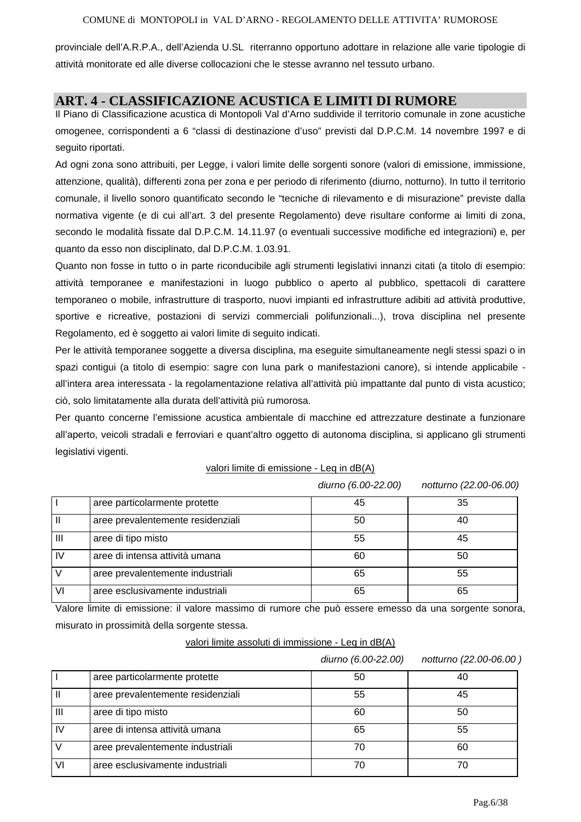provinciale dell'A.R.P.A., dell'Azienda U.SL riterranno opportuno adottare in relazione alle varie tipologie di attività monitorate ed alle diverse collocazioni che le stesse avranno nel tessuto urbano.

# **ART. 4 - CLASSIFICAZIONE ACUSTICA E LIMITI DI RUMORE**

Il Piano di Classificazione acustica di Montopoli Val d'Arno suddivide il territorio comunale in zone acustiche omogenee, corrispondenti a 6 "classi di destinazione d'uso" previsti dal D.P.C.M. 14 novembre 1997 e di seguito riportati.

Ad ogni zona sono attribuiti, per Legge, i valori limite delle sorgenti sonore (valori di emissione, immissione, attenzione, qualità), differenti zona per zona e per periodo di riferimento (diurno, notturno). In tutto il territorio comunale, il livello sonoro quantificato secondo le "tecniche di rilevamento e di misurazione" previste dalla normativa vigente (e di cui all'art. 3 del presente Regolamento) deve risultare conforme ai limiti di zona, secondo le modalità fissate dal D.P.C.M. 14.11.97 (o eventuali successive modifiche ed integrazioni) e, per quanto da esso non disciplinato, dal D.P.C.M. 1.03.91.

Quanto non fosse in tutto o in parte riconducibile agli strumenti legislativi innanzi citati (a titolo di esempio: attività temporanee e manifestazioni in luogo pubblico o aperto al pubblico, spettacoli di carattere temporaneo o mobile, infrastrutture di trasporto, nuovi impianti ed infrastrutture adibiti ad attività produttive, sportive e ricreative, postazioni di servizi commerciali polifunzionali...), trova disciplina nel presente Regolamento, ed è soggetto ai valori limite di seguito indicati.

Per le attività temporanee soggette a diversa disciplina, ma eseguite simultaneamente negli stessi spazi o in spazi contigui (a titolo di esempio: sagre con luna park o manifestazioni canore), si intende applicabile all'intera area interessata - la regolamentazione relativa all'attività più impattante dal punto di vista acustico; ciò, solo limitatamente alla durata dell'attività più rumorosa.

Per quanto concerne l'emissione acustica ambientale di macchine ed attrezzature destinate a funzionare all'aperto, veicoli stradali e ferroviari e quant'altro oggetto di autonoma disciplina, si applicano gli strumenti legislativi vigenti.

|                | aree particolarmente protette     | 45 | 35 |
|----------------|-----------------------------------|----|----|
|                | aree prevalentemente residenziali | 50 |    |
| $\mathbf{III}$ | aree di tipo misto                | 55 | 45 |
| $\mathsf{IV}$  | aree di intensa attività umana    | 60 | 50 |
|                | aree prevalentemente industriali  | 65 | 55 |
| VI             | aree esclusivamente industriali   | 65 | 65 |

#### valori limite di emissione - Leq in dB(A)

*diurno (6.00-22.00) notturno (22.00-06.00)* 

Valore limite di emissione: il valore massimo di rumore che può essere emesso da una sorgente sonora, misurato in prossimità della sorgente stessa.

#### valori limite assoluti di immissione - Leq in dB(A)

|                |                                   | diurno (6.00-22.00) | notturno (22.00-06.00) |
|----------------|-----------------------------------|---------------------|------------------------|
|                | aree particolarmente protette     | 50                  | 40                     |
|                | aree prevalentemente residenziali | 55                  | 45                     |
| $\mathbf{III}$ | aree di tipo misto                | 60                  | 50                     |
| IV             | aree di intensa attività umana    | 65                  | 55                     |
|                | aree prevalentemente industriali  | 70                  | 60                     |
| VI             | aree esclusivamente industriali   | 70                  | 70                     |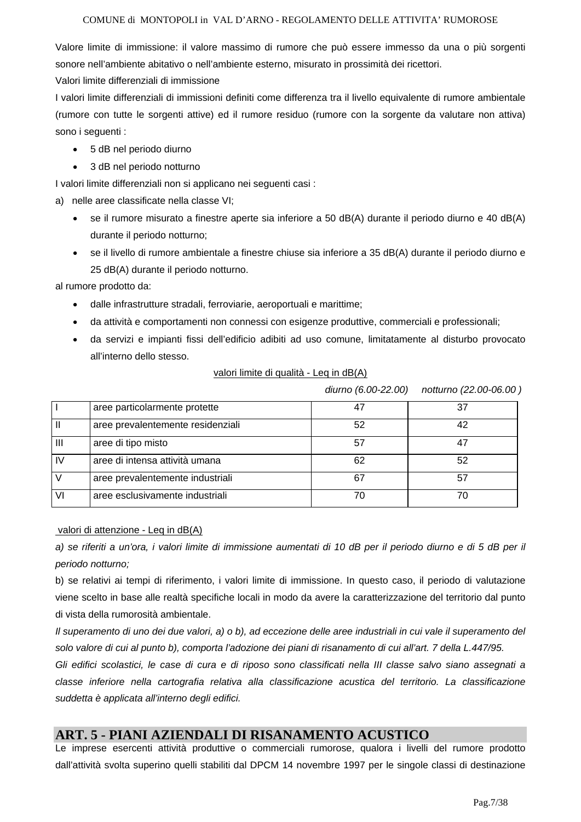Valore limite di immissione: il valore massimo di rumore che può essere immesso da una o più sorgenti sonore nell'ambiente abitativo o nell'ambiente esterno, misurato in prossimità dei ricettori.

Valori limite differenziali di immissione

I valori limite differenziali di immissioni definiti come differenza tra il livello equivalente di rumore ambientale (rumore con tutte le sorgenti attive) ed il rumore residuo (rumore con la sorgente da valutare non attiva) sono i seguenti :

- 5 dB nel periodo diurno
- 3 dB nel periodo notturno

I valori limite differenziali non si applicano nei seguenti casi :

- a) nelle aree classificate nella classe VI;
	- se il rumore misurato a finestre aperte sia inferiore a 50 dB(A) durante il periodo diurno e 40 dB(A) durante il periodo notturno;
	- se il livello di rumore ambientale a finestre chiuse sia inferiore a 35 dB(A) durante il periodo diurno e 25 dB(A) durante il periodo notturno.

al rumore prodotto da:

- dalle infrastrutture stradali, ferroviarie, aeroportuali e marittime;
- da attività e comportamenti non connessi con esigenze produttive, commerciali e professionali;
- da servizi e impianti fissi dell'edificio adibiti ad uso comune, limitatamente al disturbo provocato all'interno dello stesso.

| valori limite di qualità - Leg in dB(A) |
|-----------------------------------------|
|-----------------------------------------|

*diurno (6.00-22.00) notturno (22.00-06.00 )* 

|                | aree particolarmente protette     |    | 37 |
|----------------|-----------------------------------|----|----|
|                | aree prevalentemente residenziali | 52 | 42 |
| $\mathbf{III}$ | aree di tipo misto                | 57 |    |
| IV             | aree di intensa attività umana    | 62 | 52 |
|                | aree prevalentemente industriali  | 67 | 57 |
| VI             | aree esclusivamente industriali   |    | 70 |

valori di attenzione - Leq in dB(A)

*a) se riferiti a un'ora, i valori limite di immissione aumentati di 10 dB per il periodo diurno e di 5 dB per il periodo notturno;* 

b) se relativi ai tempi di riferimento, i valori limite di immissione. In questo caso, il periodo di valutazione viene scelto in base alle realtà specifiche locali in modo da avere la caratterizzazione del territorio dal punto di vista della rumorosità ambientale.

*Il superamento di uno dei due valori, a) o b), ad eccezione delle aree industriali in cui vale il superamento del solo valore di cui al punto b), comporta l'adozione dei piani di risanamento di cui all'art. 7 della L.447/95.* 

*Gli edifici scolastici, le case di cura e di riposo sono classificati nella III classe salvo siano assegnati a classe inferiore nella cartografia relativa alla classificazione acustica del territorio. La classificazione suddetta è applicata all'interno degli edifici.* 

### **ART. 5 - PIANI AZIENDALI DI RISANAMENTO ACUSTICO**

Le imprese esercenti attività produttive o commerciali rumorose, qualora i livelli del rumore prodotto dall'attività svolta superino quelli stabiliti dal DPCM 14 novembre 1997 per le singole classi di destinazione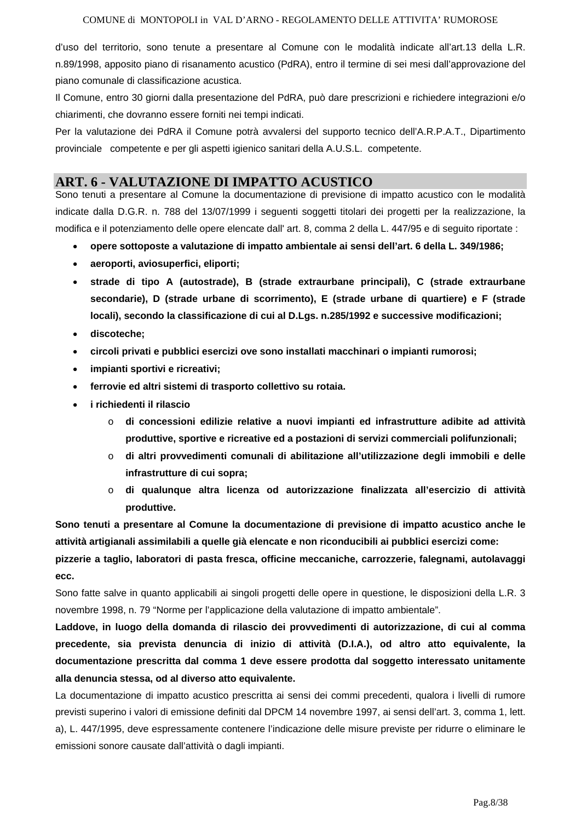d'uso del territorio, sono tenute a presentare al Comune con le modalità indicate all'art.13 della L.R. n.89/1998, apposito piano di risanamento acustico (PdRA), entro il termine di sei mesi dall'approvazione del piano comunale di classificazione acustica.

Il Comune, entro 30 giorni dalla presentazione del PdRA, può dare prescrizioni e richiedere integrazioni e/o chiarimenti, che dovranno essere forniti nei tempi indicati.

Per la valutazione dei PdRA il Comune potrà avvalersi del supporto tecnico dell'A.R.P.A.T., Dipartimento provinciale competente e per gli aspetti igienico sanitari della A.U.S.L. competente.

### **ART. 6 - VALUTAZIONE DI IMPATTO ACUSTICO**

Sono tenuti a presentare al Comune la documentazione di previsione di impatto acustico con le modalità indicate dalla D.G.R. n. 788 del 13/07/1999 i seguenti soggetti titolari dei progetti per la realizzazione, la modifica e il potenziamento delle opere elencate dall' art. 8, comma 2 della L. 447/95 e di seguito riportate :

- **opere sottoposte a valutazione di impatto ambientale ai sensi dell'art. 6 della L. 349/1986;**
- **aeroporti, aviosuperfici, eliporti;**
- **strade di tipo A (autostrade), B (strade extraurbane principali), C (strade extraurbane secondarie), D (strade urbane di scorrimento), E (strade urbane di quartiere) e F (strade locali), secondo la classificazione di cui al D.Lgs. n.285/1992 e successive modificazioni;**
- **discoteche;**
- **circoli privati e pubblici esercizi ove sono installati macchinari o impianti rumorosi;**
- **impianti sportivi e ricreativi;**
- **ferrovie ed altri sistemi di trasporto collettivo su rotaia.**
- **i richiedenti il rilascio** 
	- o **di concessioni edilizie relative a nuovi impianti ed infrastrutture adibite ad attività produttive, sportive e ricreative ed a postazioni di servizi commerciali polifunzionali;**
	- o **di altri provvedimenti comunali di abilitazione all'utilizzazione degli immobili e delle infrastrutture di cui sopra;**
	- o **di qualunque altra licenza od autorizzazione finalizzata all'esercizio di attività produttive.**

**Sono tenuti a presentare al Comune la documentazione di previsione di impatto acustico anche le attività artigianali assimilabili a quelle già elencate e non riconducibili ai pubblici esercizi come:** 

**pizzerie a taglio, laboratori di pasta fresca, officine meccaniche, carrozzerie, falegnami, autolavaggi ecc.** 

Sono fatte salve in quanto applicabili ai singoli progetti delle opere in questione, le disposizioni della L.R. 3 novembre 1998, n. 79 "Norme per l'applicazione della valutazione di impatto ambientale".

**Laddove, in luogo della domanda di rilascio dei provvedimenti di autorizzazione, di cui al comma precedente, sia prevista denuncia di inizio di attività (D.I.A.), od altro atto equivalente, la documentazione prescritta dal comma 1 deve essere prodotta dal soggetto interessato unitamente alla denuncia stessa, od al diverso atto equivalente.** 

La documentazione di impatto acustico prescritta ai sensi dei commi precedenti, qualora i livelli di rumore previsti superino i valori di emissione definiti dal DPCM 14 novembre 1997, ai sensi dell'art. 3, comma 1, lett. a), L. 447/1995, deve espressamente contenere l'indicazione delle misure previste per ridurre o eliminare le emissioni sonore causate dall'attività o dagli impianti.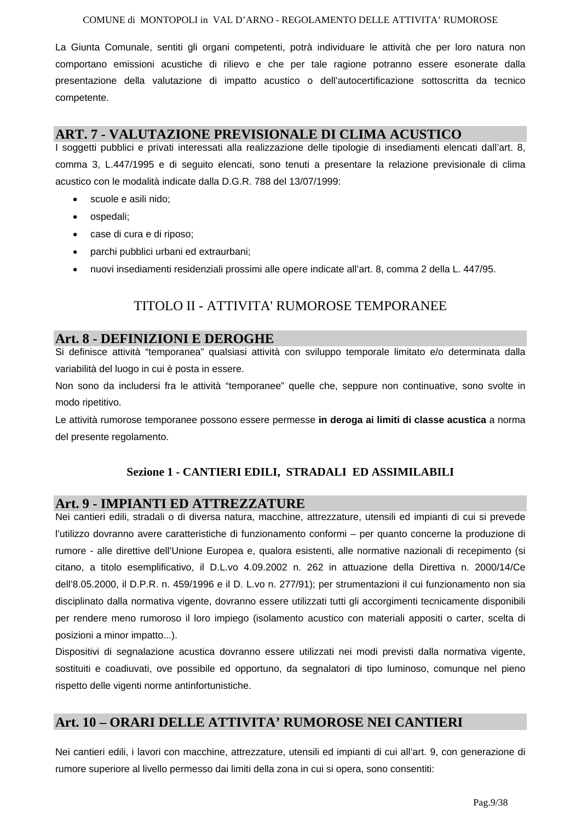#### COMUNE di MONTOPOLI in VAL D'ARNO - REGOLAMENTO DELLE ATTIVITA' RUMOROSE

La Giunta Comunale, sentiti gli organi competenti, potrà individuare le attività che per loro natura non comportano emissioni acustiche di rilievo e che per tale ragione potranno essere esonerate dalla presentazione della valutazione di impatto acustico o dell'autocertificazione sottoscritta da tecnico competente.

### **ART. 7 - VALUTAZIONE PREVISIONALE DI CLIMA ACUSTICO**

I soggetti pubblici e privati interessati alla realizzazione delle tipologie di insediamenti elencati dall'art. 8, comma 3, L.447/1995 e di seguito elencati, sono tenuti a presentare la relazione previsionale di clima acustico con le modalità indicate dalla D.G.R. 788 del 13/07/1999:

- scuole e asili nido;
- ospedali;
- case di cura e di riposo;
- parchi pubblici urbani ed extraurbani;
- nuovi insediamenti residenziali prossimi alle opere indicate all'art. 8, comma 2 della L. 447/95.

# TITOLO II - ATTIVITA' RUMOROSE TEMPORANEE

### **Art. 8 - DEFINIZIONI E DEROGHE**

Si definisce attività "temporanea" qualsiasi attività con sviluppo temporale limitato e/o determinata dalla variabilità del luogo in cui è posta in essere.

Non sono da includersi fra le attività "temporanee" quelle che, seppure non continuative, sono svolte in modo ripetitivo.

Le attività rumorose temporanee possono essere permesse **in deroga ai limiti di classe acustica** a norma del presente regolamento.

### **Sezione 1 - CANTIERI EDILI, STRADALI ED ASSIMILABILI**

### **Art. 9 - IMPIANTI ED ATTREZZATURE**

Nei cantieri edili, stradali o di diversa natura, macchine, attrezzature, utensili ed impianti di cui si prevede l'utilizzo dovranno avere caratteristiche di funzionamento conformi – per quanto concerne la produzione di rumore - alle direttive dell'Unione Europea e, qualora esistenti, alle normative nazionali di recepimento (si citano, a titolo esemplificativo, il D.L.vo 4.09.2002 n. 262 in attuazione della Direttiva n. 2000/14/Ce dell'8.05.2000, il D.P.R. n. 459/1996 e il D. L.vo n. 277/91); per strumentazioni il cui funzionamento non sia disciplinato dalla normativa vigente, dovranno essere utilizzati tutti gli accorgimenti tecnicamente disponibili per rendere meno rumoroso il loro impiego (isolamento acustico con materiali appositi o carter, scelta di posizioni a minor impatto...).

Dispositivi di segnalazione acustica dovranno essere utilizzati nei modi previsti dalla normativa vigente, sostituiti e coadiuvati, ove possibile ed opportuno, da segnalatori di tipo luminoso, comunque nel pieno rispetto delle vigenti norme antinfortunistiche.

### **Art. 10 – ORARI DELLE ATTIVITA' RUMOROSE NEI CANTIERI**

Nei cantieri edili, i lavori con macchine, attrezzature, utensili ed impianti di cui all'art. 9, con generazione di rumore superiore al livello permesso dai limiti della zona in cui si opera, sono consentiti: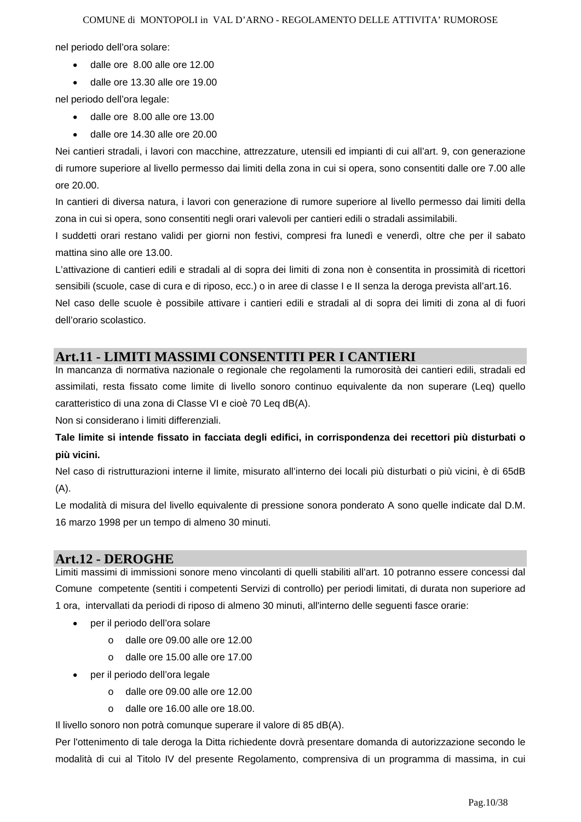nel periodo dell'ora solare:

- dalle ore 8.00 alle ore 12.00
- dalle ore 13.30 alle ore 19.00

nel periodo dell'ora legale:

- dalle ore 8.00 alle ore 13.00
- dalle ore 14.30 alle ore 20.00

Nei cantieri stradali, i lavori con macchine, attrezzature, utensili ed impianti di cui all'art. 9, con generazione di rumore superiore al livello permesso dai limiti della zona in cui si opera, sono consentiti dalle ore 7.00 alle ore 20.00.

In cantieri di diversa natura, i lavori con generazione di rumore superiore al livello permesso dai limiti della zona in cui si opera, sono consentiti negli orari valevoli per cantieri edili o stradali assimilabili.

I suddetti orari restano validi per giorni non festivi, compresi fra lunedì e venerdì, oltre che per il sabato mattina sino alle ore 13.00.

L'attivazione di cantieri edili e stradali al di sopra dei limiti di zona non è consentita in prossimità di ricettori sensibili (scuole, case di cura e di riposo, ecc.) o in aree di classe I e II senza la deroga prevista all'art.16.

Nel caso delle scuole è possibile attivare i cantieri edili e stradali al di sopra dei limiti di zona al di fuori dell'orario scolastico.

### **Art.11 - LIMITI MASSIMI CONSENTITI PER I CANTIERI**

In mancanza di normativa nazionale o regionale che regolamenti la rumorosità dei cantieri edili, stradali ed assimilati, resta fissato come limite di livello sonoro continuo equivalente da non superare (Leq) quello caratteristico di una zona di Classe VI e cioè 70 Leq dB(A).

Non si considerano i limiti differenziali.

**Tale limite si intende fissato in facciata degli edifici, in corrispondenza dei recettori più disturbati o più vicini.** 

Nel caso di ristrutturazioni interne il limite, misurato all'interno dei locali più disturbati o più vicini, è di 65dB  $(A)$ .

Le modalità di misura del livello equivalente di pressione sonora ponderato A sono quelle indicate dal D.M. 16 marzo 1998 per un tempo di almeno 30 minuti.

# **Art.12 - DEROGHE**

Limiti massimi di immissioni sonore meno vincolanti di quelli stabiliti all'art. 10 potranno essere concessi dal Comune competente (sentiti i competenti Servizi di controllo) per periodi limitati, di durata non superiore ad 1 ora, intervallati da periodi di riposo di almeno 30 minuti, all'interno delle seguenti fasce orarie:

- per il periodo dell'ora solare
	- o dalle ore 09.00 alle ore 12.00
	- o dalle ore 15.00 alle ore 17.00
- per il periodo dell'ora legale
	- o dalle ore 09.00 alle ore 12.00
	- o dalle ore 16.00 alle ore 18.00.

Il livello sonoro non potrà comunque superare il valore di 85 dB(A).

Per l'ottenimento di tale deroga la Ditta richiedente dovrà presentare domanda di autorizzazione secondo le modalità di cui al Titolo IV del presente Regolamento, comprensiva di un programma di massima, in cui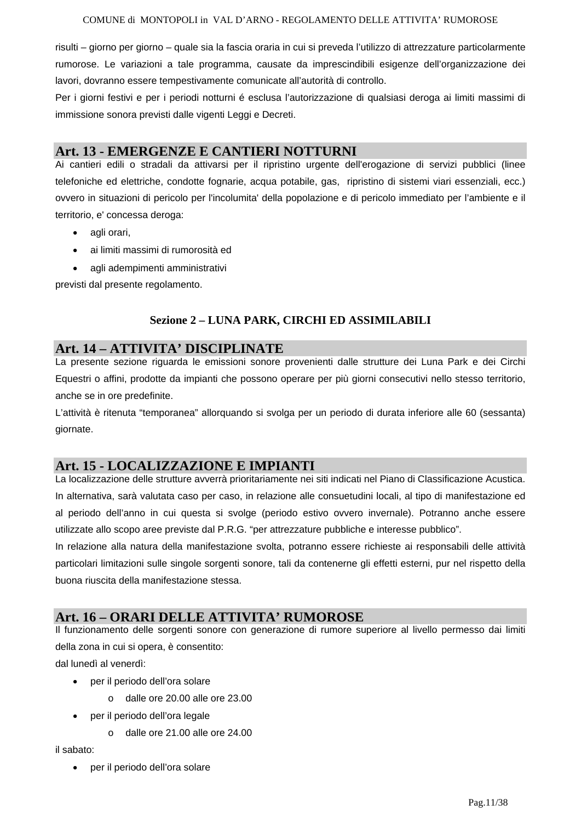risulti – giorno per giorno – quale sia la fascia oraria in cui si preveda l'utilizzo di attrezzature particolarmente rumorose. Le variazioni a tale programma, causate da imprescindibili esigenze dell'organizzazione dei lavori, dovranno essere tempestivamente comunicate all'autorità di controllo.

Per i giorni festivi e per i periodi notturni é esclusa l'autorizzazione di qualsiasi deroga ai limiti massimi di immissione sonora previsti dalle vigenti Leggi e Decreti.

### **Art. 13 - EMERGENZE E CANTIERI NOTTURNI**

Ai cantieri edili o stradali da attivarsi per il ripristino urgente dell'erogazione di servizi pubblici (linee telefoniche ed elettriche, condotte fognarie, acqua potabile, gas, ripristino di sistemi viari essenziali, ecc.) ovvero in situazioni di pericolo per l'incolumita' della popolazione e di pericolo immediato per l'ambiente e il territorio, e' concessa deroga:

- agli orari,
- ai limiti massimi di rumorosità ed
- agli adempimenti amministrativi

previsti dal presente regolamento.

### **Sezione 2 – LUNA PARK, CIRCHI ED ASSIMILABILI**

### **Art. 14 – ATTIVITA' DISCIPLINATE**

La presente sezione riguarda le emissioni sonore provenienti dalle strutture dei Luna Park e dei Circhi Equestri o affini, prodotte da impianti che possono operare per più giorni consecutivi nello stesso territorio, anche se in ore predefinite.

L'attività è ritenuta "temporanea" allorquando si svolga per un periodo di durata inferiore alle 60 (sessanta) giornate.

### **Art. 15 - LOCALIZZAZIONE E IMPIANTI**

La localizzazione delle strutture avverrà prioritariamente nei siti indicati nel Piano di Classificazione Acustica. In alternativa, sarà valutata caso per caso, in relazione alle consuetudini locali, al tipo di manifestazione ed al periodo dell'anno in cui questa si svolge (periodo estivo ovvero invernale). Potranno anche essere utilizzate allo scopo aree previste dal P.R.G. "per attrezzature pubbliche e interesse pubblico".

In relazione alla natura della manifestazione svolta, potranno essere richieste ai responsabili delle attività particolari limitazioni sulle singole sorgenti sonore, tali da contenerne gli effetti esterni, pur nel rispetto della buona riuscita della manifestazione stessa.

### **Art. 16 – ORARI DELLE ATTIVITA' RUMOROSE**

Il funzionamento delle sorgenti sonore con generazione di rumore superiore al livello permesso dai limiti della zona in cui si opera, è consentito:

dal lunedì al venerdì:

- per il periodo dell'ora solare
	- o dalle ore 20.00 alle ore 23.00
- per il periodo dell'ora legale
	- $\circ$  dalle ore 21.00 alle ore 24.00

il sabato:

• per il periodo dell'ora solare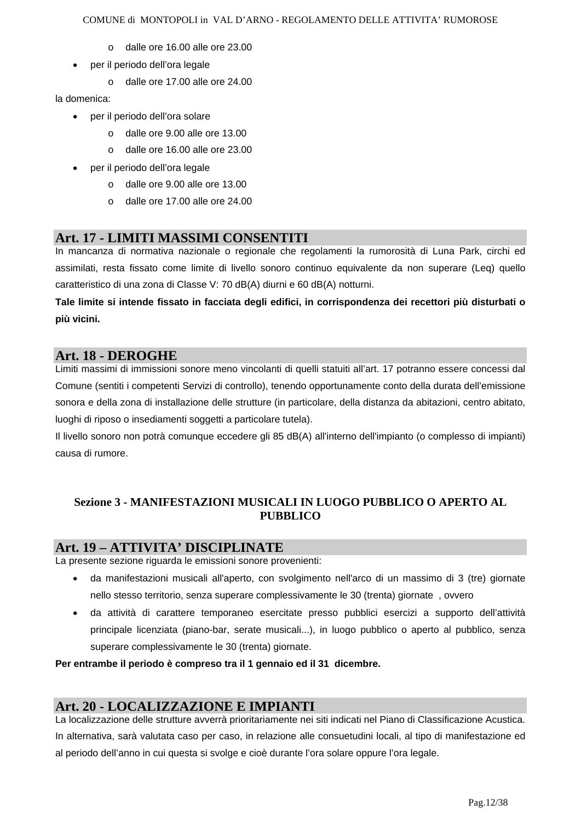- o dalle ore 16.00 alle ore 23.00
- per il periodo dell'ora legale
	- $\circ$  dalle ore 17.00 alle ore 24.00

la domenica:

- per il periodo dell'ora solare
	- o dalle ore 9.00 alle ore 13.00
	- o dalle ore 16.00 alle ore 23.00
- per il periodo dell'ora legale
	- o dalle ore 9.00 alle ore 13.00
	- o dalle ore 17.00 alle ore 24.00

### **Art. 17 - LIMITI MASSIMI CONSENTITI**

In mancanza di normativa nazionale o regionale che regolamenti la rumorosità di Luna Park, circhi ed assimilati, resta fissato come limite di livello sonoro continuo equivalente da non superare (Leq) quello caratteristico di una zona di Classe V: 70 dB(A) diurni e 60 dB(A) notturni.

**Tale limite si intende fissato in facciata degli edifici, in corrispondenza dei recettori più disturbati o più vicini.** 

### **Art. 18 - DEROGHE**

Limiti massimi di immissioni sonore meno vincolanti di quelli statuiti all'art. 17 potranno essere concessi dal Comune (sentiti i competenti Servizi di controllo), tenendo opportunamente conto della durata dell'emissione sonora e della zona di installazione delle strutture (in particolare, della distanza da abitazioni, centro abitato, luoghi di riposo o insediamenti soggetti a particolare tutela).

Il livello sonoro non potrà comunque eccedere gli 85 dB(A) all'interno dell'impianto (o complesso di impianti) causa di rumore.

### **Sezione 3 - MANIFESTAZIONI MUSICALI IN LUOGO PUBBLICO O APERTO AL PUBBLICO**

### **Art. 19 – ATTIVITA' DISCIPLINATE**

La presente sezione riguarda le emissioni sonore provenienti:

- da manifestazioni musicali all'aperto, con svolgimento nell'arco di un massimo di 3 (tre) giornate nello stesso territorio, senza superare complessivamente le 30 (trenta) giornate , ovvero
- da attività di carattere temporaneo esercitate presso pubblici esercizi a supporto dell'attività principale licenziata (piano-bar, serate musicali...), in luogo pubblico o aperto al pubblico, senza superare complessivamente le 30 (trenta) giornate.

#### **Per entrambe il periodo è compreso tra il 1 gennaio ed il 31 dicembre.**

### **Art. 20 - LOCALIZZAZIONE E IMPIANTI**

La localizzazione delle strutture avverrà prioritariamente nei siti indicati nel Piano di Classificazione Acustica. In alternativa, sarà valutata caso per caso, in relazione alle consuetudini locali, al tipo di manifestazione ed al periodo dell'anno in cui questa si svolge e cioè durante l'ora solare oppure l'ora legale.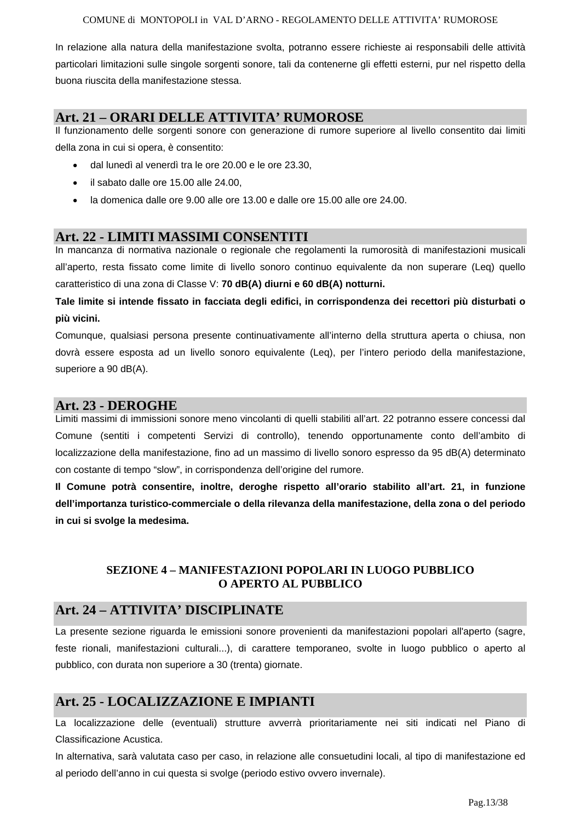In relazione alla natura della manifestazione svolta, potranno essere richieste ai responsabili delle attività particolari limitazioni sulle singole sorgenti sonore, tali da contenerne gli effetti esterni, pur nel rispetto della buona riuscita della manifestazione stessa.

## **Art. 21 – ORARI DELLE ATTIVITA' RUMOROSE**

Il funzionamento delle sorgenti sonore con generazione di rumore superiore al livello consentito dai limiti della zona in cui si opera, è consentito:

- dal lunedì al venerdì tra le ore 20.00 e le ore 23.30,
- il sabato dalle ore 15.00 alle 24.00,
- la domenica dalle ore 9.00 alle ore 13.00 e dalle ore 15.00 alle ore 24.00.

### **Art. 22 - LIMITI MASSIMI CONSENTITI**

In mancanza di normativa nazionale o regionale che regolamenti la rumorosità di manifestazioni musicali all'aperto, resta fissato come limite di livello sonoro continuo equivalente da non superare (Leq) quello caratteristico di una zona di Classe V: **70 dB(A) diurni e 60 dB(A) notturni.**

**Tale limite si intende fissato in facciata degli edifici, in corrispondenza dei recettori più disturbati o più vicini.** 

Comunque, qualsiasi persona presente continuativamente all'interno della struttura aperta o chiusa, non dovrà essere esposta ad un livello sonoro equivalente (Leq), per l'intero periodo della manifestazione, superiore a 90 dB(A).

### **Art. 23 - DEROGHE**

Limiti massimi di immissioni sonore meno vincolanti di quelli stabiliti all'art. 22 potranno essere concessi dal Comune (sentiti i competenti Servizi di controllo), tenendo opportunamente conto dell'ambito di localizzazione della manifestazione, fino ad un massimo di livello sonoro espresso da 95 dB(A) determinato con costante di tempo "slow", in corrispondenza dell'origine del rumore.

**Il Comune potrà consentire, inoltre, deroghe rispetto all'orario stabilito all'art. 21, in funzione dell'importanza turistico-commerciale o della rilevanza della manifestazione, della zona o del periodo in cui si svolge la medesima.**

### **SEZIONE 4 – MANIFESTAZIONI POPOLARI IN LUOGO PUBBLICO O APERTO AL PUBBLICO**

### **Art. 24 – ATTIVITA' DISCIPLINATE**

La presente sezione riguarda le emissioni sonore provenienti da manifestazioni popolari all'aperto (sagre, feste rionali, manifestazioni culturali...), di carattere temporaneo, svolte in luogo pubblico o aperto al pubblico, con durata non superiore a 30 (trenta) giornate.

# **Art. 25 - LOCALIZZAZIONE E IMPIANTI**

La localizzazione delle (eventuali) strutture avverrà prioritariamente nei siti indicati nel Piano di Classificazione Acustica.

In alternativa, sarà valutata caso per caso, in relazione alle consuetudini locali, al tipo di manifestazione ed al periodo dell'anno in cui questa si svolge (periodo estivo ovvero invernale).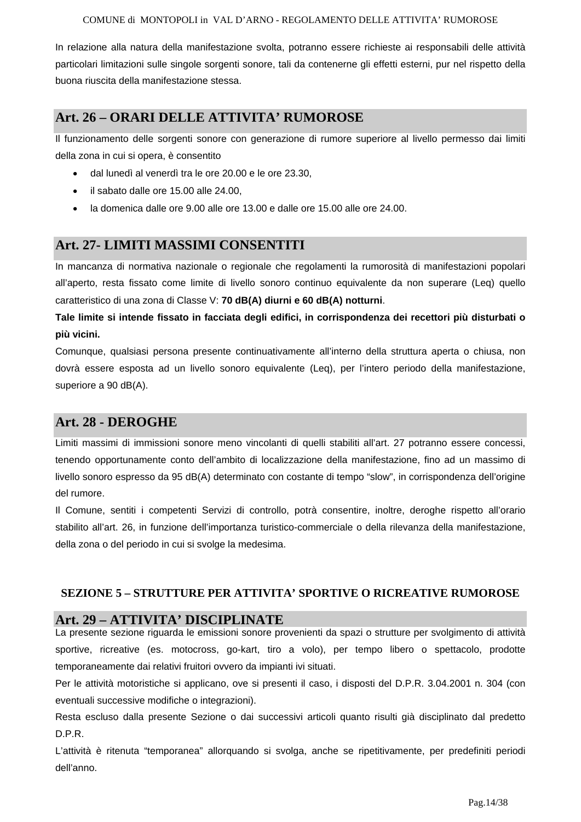In relazione alla natura della manifestazione svolta, potranno essere richieste ai responsabili delle attività particolari limitazioni sulle singole sorgenti sonore, tali da contenerne gli effetti esterni, pur nel rispetto della buona riuscita della manifestazione stessa.

### **Art. 26 – ORARI DELLE ATTIVITA' RUMOROSE**

Il funzionamento delle sorgenti sonore con generazione di rumore superiore al livello permesso dai limiti della zona in cui si opera, è consentito

- dal lunedì al venerdì tra le ore 20.00 e le ore 23.30,
- il sabato dalle ore 15.00 alle 24.00,
- la domenica dalle ore 9.00 alle ore 13.00 e dalle ore 15.00 alle ore 24.00.

### **Art. 27- LIMITI MASSIMI CONSENTITI**

In mancanza di normativa nazionale o regionale che regolamenti la rumorosità di manifestazioni popolari all'aperto, resta fissato come limite di livello sonoro continuo equivalente da non superare (Leq) quello caratteristico di una zona di Classe V: **70 dB(A) diurni e 60 dB(A) notturni**.

**Tale limite si intende fissato in facciata degli edifici, in corrispondenza dei recettori più disturbati o più vicini.** 

Comunque, qualsiasi persona presente continuativamente all'interno della struttura aperta o chiusa, non dovrà essere esposta ad un livello sonoro equivalente (Leq), per l'intero periodo della manifestazione, superiore a 90 dB(A).

### **Art. 28 - DEROGHE**

Limiti massimi di immissioni sonore meno vincolanti di quelli stabiliti all'art. 27 potranno essere concessi, tenendo opportunamente conto dell'ambito di localizzazione della manifestazione, fino ad un massimo di livello sonoro espresso da 95 dB(A) determinato con costante di tempo "slow", in corrispondenza dell'origine del rumore.

Il Comune, sentiti i competenti Servizi di controllo, potrà consentire, inoltre, deroghe rispetto all'orario stabilito all'art. 26, in funzione dell'importanza turistico-commerciale o della rilevanza della manifestazione, della zona o del periodo in cui si svolge la medesima.

#### **SEZIONE 5 – STRUTTURE PER ATTIVITA' SPORTIVE O RICREATIVE RUMOROSE**

#### **Art. 29 – ATTIVITA' DISCIPLINATE**

La presente sezione riguarda le emissioni sonore provenienti da spazi o strutture per svolgimento di attività sportive, ricreative (es. motocross, go-kart, tiro a volo), per tempo libero o spettacolo, prodotte temporaneamente dai relativi fruitori ovvero da impianti ivi situati.

Per le attività motoristiche si applicano, ove si presenti il caso, i disposti del D.P.R. 3.04.2001 n. 304 (con eventuali successive modifiche o integrazioni).

Resta escluso dalla presente Sezione o dai successivi articoli quanto risulti già disciplinato dal predetto D.P.R.

L'attività è ritenuta "temporanea" allorquando si svolga, anche se ripetitivamente, per predefiniti periodi dell'anno.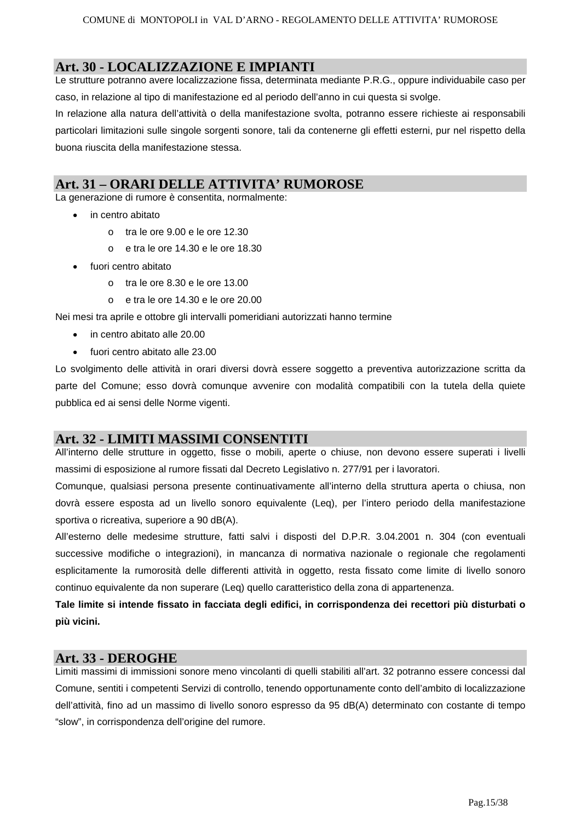### **Art. 30 - LOCALIZZAZIONE E IMPIANTI**

Le strutture potranno avere localizzazione fissa, determinata mediante P.R.G., oppure individuabile caso per caso, in relazione al tipo di manifestazione ed al periodo dell'anno in cui questa si svolge.

In relazione alla natura dell'attività o della manifestazione svolta, potranno essere richieste ai responsabili particolari limitazioni sulle singole sorgenti sonore, tali da contenerne gli effetti esterni, pur nel rispetto della buona riuscita della manifestazione stessa.

### **Art. 31 – ORARI DELLE ATTIVITA' RUMOROSE**

La generazione di rumore è consentita, normalmente:

- in centro abitato
	- $\circ$  tra le ore 9.00 e le ore 12.30
	- o e tra le ore 14.30 e le ore 18.30
- fuori centro abitato
	- o tra le ore 8.30 e le ore 13.00
	- o e tra le ore 14.30 e le ore 20.00

Nei mesi tra aprile e ottobre gli intervalli pomeridiani autorizzati hanno termine

- in centro abitato alle 20.00
- fuori centro abitato alle 23.00

Lo svolgimento delle attività in orari diversi dovrà essere soggetto a preventiva autorizzazione scritta da parte del Comune; esso dovrà comunque avvenire con modalità compatibili con la tutela della quiete pubblica ed ai sensi delle Norme vigenti.

### **Art. 32 - LIMITI MASSIMI CONSENTITI**

All'interno delle strutture in oggetto, fisse o mobili, aperte o chiuse, non devono essere superati i livelli massimi di esposizione al rumore fissati dal Decreto Legislativo n. 277/91 per i lavoratori.

Comunque, qualsiasi persona presente continuativamente all'interno della struttura aperta o chiusa, non dovrà essere esposta ad un livello sonoro equivalente (Leq), per l'intero periodo della manifestazione sportiva o ricreativa, superiore a 90 dB(A).

All'esterno delle medesime strutture, fatti salvi i disposti del D.P.R. 3.04.2001 n. 304 (con eventuali successive modifiche o integrazioni), in mancanza di normativa nazionale o regionale che regolamenti esplicitamente la rumorosità delle differenti attività in oggetto, resta fissato come limite di livello sonoro continuo equivalente da non superare (Leq) quello caratteristico della zona di appartenenza.

**Tale limite si intende fissato in facciata degli edifici, in corrispondenza dei recettori più disturbati o più vicini.** 

### **Art. 33 - DEROGHE**

Limiti massimi di immissioni sonore meno vincolanti di quelli stabiliti all'art. 32 potranno essere concessi dal Comune, sentiti i competenti Servizi di controllo, tenendo opportunamente conto dell'ambito di localizzazione dell'attività, fino ad un massimo di livello sonoro espresso da 95 dB(A) determinato con costante di tempo "slow", in corrispondenza dell'origine del rumore.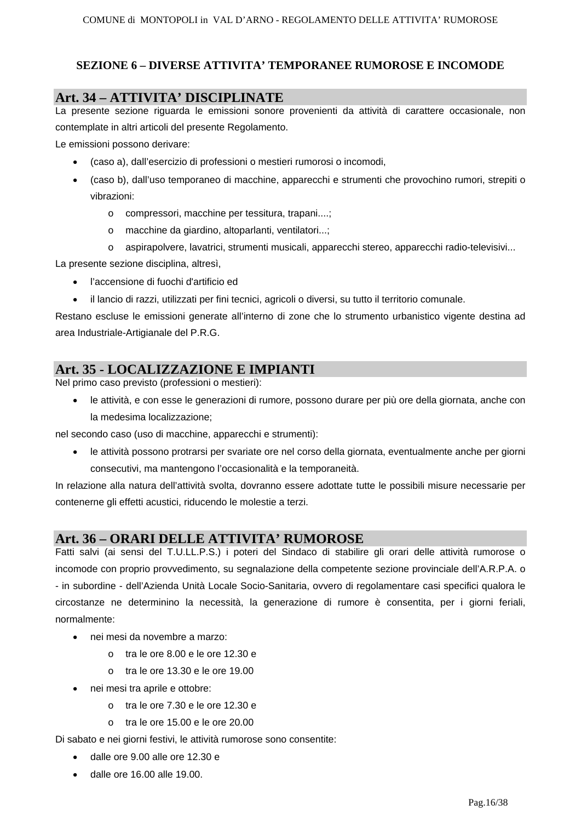### **SEZIONE 6 – DIVERSE ATTIVITA' TEMPORANEE RUMOROSE E INCOMODE**

### **Art. 34 – ATTIVITA' DISCIPLINATE**

La presente sezione riguarda le emissioni sonore provenienti da attività di carattere occasionale, non contemplate in altri articoli del presente Regolamento.

Le emissioni possono derivare:

- (caso a), dall'esercizio di professioni o mestieri rumorosi o incomodi,
- (caso b), dall'uso temporaneo di macchine, apparecchi e strumenti che provochino rumori, strepiti o vibrazioni:
	- o compressori, macchine per tessitura, trapani....;
	- o macchine da giardino, altoparlanti, ventilatori...;
	- o aspirapolvere, lavatrici, strumenti musicali, apparecchi stereo, apparecchi radio-televisivi...

La presente sezione disciplina, altresì,

- l'accensione di fuochi d'artificio ed
- il lancio di razzi, utilizzati per fini tecnici, agricoli o diversi, su tutto il territorio comunale.

Restano escluse le emissioni generate all'interno di zone che lo strumento urbanistico vigente destina ad area Industriale-Artigianale del P.R.G.

# **Art. 35 - LOCALIZZAZIONE E IMPIANTI**

Nel primo caso previsto (professioni o mestieri):

• le attività, e con esse le generazioni di rumore, possono durare per più ore della giornata, anche con la medesima localizzazione;

nel secondo caso (uso di macchine, apparecchi e strumenti):

• le attività possono protrarsi per svariate ore nel corso della giornata, eventualmente anche per giorni consecutivi, ma mantengono l'occasionalità e la temporaneità.

In relazione alla natura dell'attività svolta, dovranno essere adottate tutte le possibili misure necessarie per contenerne gli effetti acustici, riducendo le molestie a terzi.

### **Art. 36 – ORARI DELLE ATTIVITA' RUMOROSE**

Fatti salvi (ai sensi del T.U.LL.P.S.) i poteri del Sindaco di stabilire gli orari delle attività rumorose o incomode con proprio provvedimento, su segnalazione della competente sezione provinciale dell'A.R.P.A. o - in subordine - dell'Azienda Unità Locale Socio-Sanitaria, ovvero di regolamentare casi specifici qualora le circostanze ne determinino la necessità, la generazione di rumore è consentita, per i giorni feriali, normalmente:

- nei mesi da novembre a marzo:
	- o tra le ore 8.00 e le ore 12.30 e
	- o tra le ore 13.30 e le ore 19.00
- nei mesi tra aprile e ottobre:
	- $\circ$  tra le ore 7.30 e le ore 12.30 e
	- o tra le ore 15.00 e le ore 20.00

Di sabato e nei giorni festivi, le attività rumorose sono consentite:

- dalle ore 9.00 alle ore 12.30 e
- dalle ore 16.00 alle 19.00.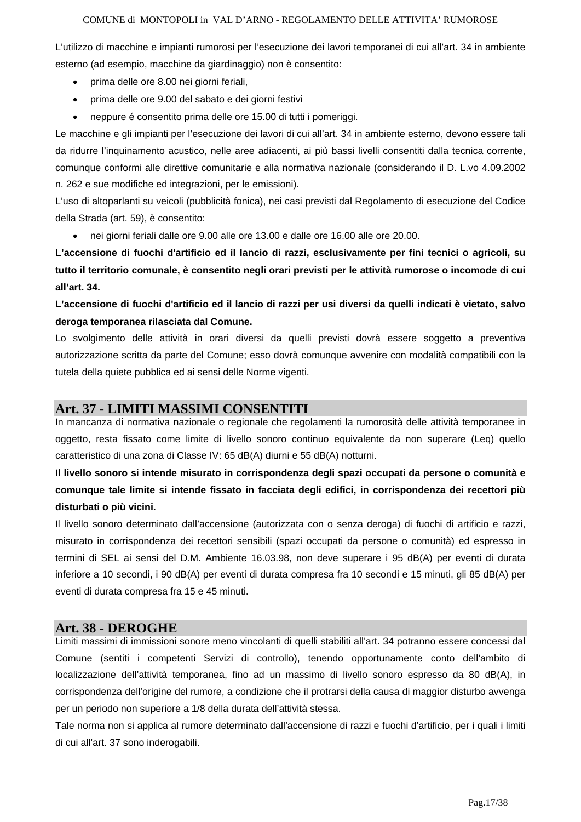L'utilizzo di macchine e impianti rumorosi per l'esecuzione dei lavori temporanei di cui all'art. 34 in ambiente esterno (ad esempio, macchine da giardinaggio) non è consentito:

- prima delle ore 8.00 nei giorni feriali,
- prima delle ore 9.00 del sabato e dei giorni festivi
- neppure é consentito prima delle ore 15.00 di tutti i pomeriggi.

Le macchine e gli impianti per l'esecuzione dei lavori di cui all'art. 34 in ambiente esterno, devono essere tali da ridurre l'inquinamento acustico, nelle aree adiacenti, ai più bassi livelli consentiti dalla tecnica corrente, comunque conformi alle direttive comunitarie e alla normativa nazionale (considerando il D. L.vo 4.09.2002 n. 262 e sue modifiche ed integrazioni, per le emissioni).

L'uso di altoparlanti su veicoli (pubblicità fonica), nei casi previsti dal Regolamento di esecuzione del Codice della Strada (art. 59), è consentito:

• nei giorni feriali dalle ore 9.00 alle ore 13.00 e dalle ore 16.00 alle ore 20.00.

**L'accensione di fuochi d'artificio ed il lancio di razzi, esclusivamente per fini tecnici o agricoli, su tutto il territorio comunale, è consentito negli orari previsti per le attività rumorose o incomode di cui all'art. 34.** 

### **L'accensione di fuochi d'artificio ed il lancio di razzi per usi diversi da quelli indicati è vietato, salvo deroga temporanea rilasciata dal Comune.**

Lo svolgimento delle attività in orari diversi da quelli previsti dovrà essere soggetto a preventiva autorizzazione scritta da parte del Comune; esso dovrà comunque avvenire con modalità compatibili con la tutela della quiete pubblica ed ai sensi delle Norme vigenti.

#### **Art. 37 - LIMITI MASSIMI CONSENTITI**

In mancanza di normativa nazionale o regionale che regolamenti la rumorosità delle attività temporanee in oggetto, resta fissato come limite di livello sonoro continuo equivalente da non superare (Leq) quello caratteristico di una zona di Classe IV: 65 dB(A) diurni e 55 dB(A) notturni.

### **Il livello sonoro si intende misurato in corrispondenza degli spazi occupati da persone o comunità e comunque tale limite si intende fissato in facciata degli edifici, in corrispondenza dei recettori più disturbati o più vicini.**

Il livello sonoro determinato dall'accensione (autorizzata con o senza deroga) di fuochi di artificio e razzi, misurato in corrispondenza dei recettori sensibili (spazi occupati da persone o comunità) ed espresso in termini di SEL ai sensi del D.M. Ambiente 16.03.98, non deve superare i 95 dB(A) per eventi di durata inferiore a 10 secondi, i 90 dB(A) per eventi di durata compresa fra 10 secondi e 15 minuti, gli 85 dB(A) per eventi di durata compresa fra 15 e 45 minuti.

#### **Art. 38 - DEROGHE**

Limiti massimi di immissioni sonore meno vincolanti di quelli stabiliti all'art. 34 potranno essere concessi dal Comune (sentiti i competenti Servizi di controllo), tenendo opportunamente conto dell'ambito di localizzazione dell'attività temporanea, fino ad un massimo di livello sonoro espresso da 80 dB(A), in corrispondenza dell'origine del rumore, a condizione che il protrarsi della causa di maggior disturbo avvenga per un periodo non superiore a 1/8 della durata dell'attività stessa.

Tale norma non si applica al rumore determinato dall'accensione di razzi e fuochi d'artificio, per i quali i limiti di cui all'art. 37 sono inderogabili.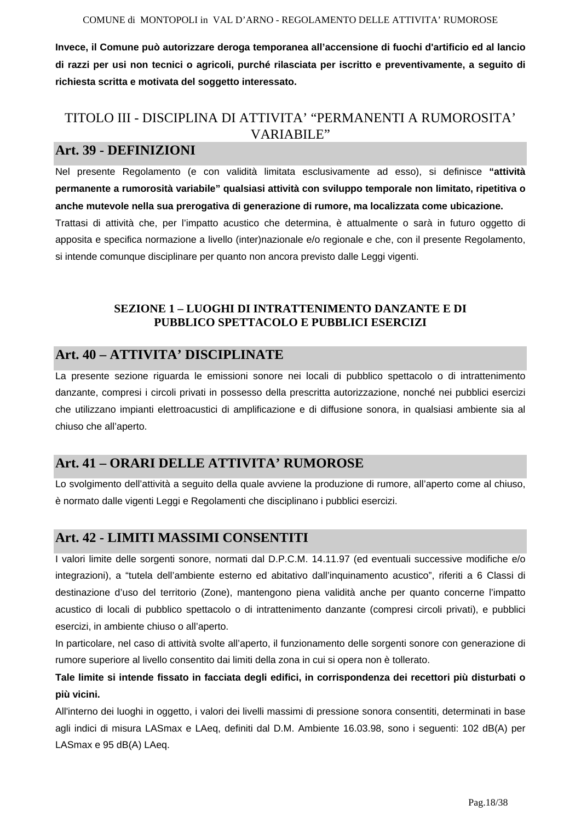**Invece, il Comune può autorizzare deroga temporanea all'accensione di fuochi d'artificio ed al lancio di razzi per usi non tecnici o agricoli, purché rilasciata per iscritto e preventivamente, a seguito di richiesta scritta e motivata del soggetto interessato.** 

# TITOLO III - DISCIPLINA DI ATTIVITA' "PERMANENTI A RUMOROSITA' VARIABILE"

# **Art. 39 - DEFINIZIONI**

Nel presente Regolamento (e con validità limitata esclusivamente ad esso), si definisce **"attività permanente a rumorosità variabile" qualsiasi attività con sviluppo temporale non limitato, ripetitiva o anche mutevole nella sua prerogativa di generazione di rumore, ma localizzata come ubicazione.** 

Trattasi di attività che, per l'impatto acustico che determina, è attualmente o sarà in futuro oggetto di apposita e specifica normazione a livello (inter)nazionale e/o regionale e che, con il presente Regolamento, si intende comunque disciplinare per quanto non ancora previsto dalle Leggi vigenti.

### **SEZIONE 1 – LUOGHI DI INTRATTENIMENTO DANZANTE E DI PUBBLICO SPETTACOLO E PUBBLICI ESERCIZI**

# **Art. 40 – ATTIVITA' DISCIPLINATE**

La presente sezione riguarda le emissioni sonore nei locali di pubblico spettacolo o di intrattenimento danzante, compresi i circoli privati in possesso della prescritta autorizzazione, nonché nei pubblici esercizi che utilizzano impianti elettroacustici di amplificazione e di diffusione sonora, in qualsiasi ambiente sia al chiuso che all'aperto.

# **Art. 41 – ORARI DELLE ATTIVITA' RUMOROSE**

Lo svolgimento dell'attività a seguito della quale avviene la produzione di rumore, all'aperto come al chiuso, è normato dalle vigenti Leggi e Regolamenti che disciplinano i pubblici esercizi.

# **Art. 42 - LIMITI MASSIMI CONSENTITI**

I valori limite delle sorgenti sonore, normati dal D.P.C.M. 14.11.97 (ed eventuali successive modifiche e/o integrazioni), a "tutela dell'ambiente esterno ed abitativo dall'inquinamento acustico", riferiti a 6 Classi di destinazione d'uso del territorio (Zone), mantengono piena validità anche per quanto concerne l'impatto acustico di locali di pubblico spettacolo o di intrattenimento danzante (compresi circoli privati), e pubblici esercizi, in ambiente chiuso o all'aperto.

In particolare, nel caso di attività svolte all'aperto, il funzionamento delle sorgenti sonore con generazione di rumore superiore al livello consentito dai limiti della zona in cui si opera non è tollerato.

**Tale limite si intende fissato in facciata degli edifici, in corrispondenza dei recettori più disturbati o più vicini.** 

All'interno dei luoghi in oggetto, i valori dei livelli massimi di pressione sonora consentiti, determinati in base agli indici di misura LASmax e LAeq, definiti dal D.M. Ambiente 16.03.98, sono i seguenti: 102 dB(A) per LASmax e 95 dB(A) LAeq.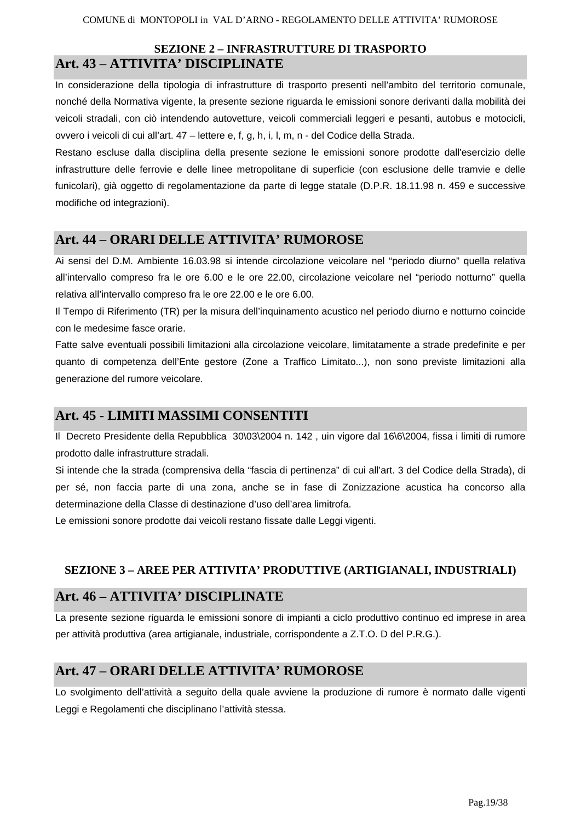### **SEZIONE 2 – INFRASTRUTTURE DI TRASPORTO Art. 43 – ATTIVITA' DISCIPLINATE**

In considerazione della tipologia di infrastrutture di trasporto presenti nell'ambito del territorio comunale, nonché della Normativa vigente, la presente sezione riguarda le emissioni sonore derivanti dalla mobilità dei veicoli stradali, con ciò intendendo autovetture, veicoli commerciali leggeri e pesanti, autobus e motocicli, ovvero i veicoli di cui all'art. 47 – lettere e, f, g, h, i, l, m, n - del Codice della Strada.

Restano escluse dalla disciplina della presente sezione le emissioni sonore prodotte dall'esercizio delle infrastrutture delle ferrovie e delle linee metropolitane di superficie (con esclusione delle tramvie e delle funicolari), già oggetto di regolamentazione da parte di legge statale (D.P.R. 18.11.98 n. 459 e successive modifiche od integrazioni).

# **Art. 44 – ORARI DELLE ATTIVITA' RUMOROSE**

Ai sensi del D.M. Ambiente 16.03.98 si intende circolazione veicolare nel "periodo diurno" quella relativa all'intervallo compreso fra le ore 6.00 e le ore 22.00, circolazione veicolare nel "periodo notturno" quella relativa all'intervallo compreso fra le ore 22.00 e le ore 6.00.

Il Tempo di Riferimento (TR) per la misura dell'inquinamento acustico nel periodo diurno e notturno coincide con le medesime fasce orarie.

Fatte salve eventuali possibili limitazioni alla circolazione veicolare, limitatamente a strade predefinite e per quanto di competenza dell'Ente gestore (Zone a Traffico Limitato...), non sono previste limitazioni alla generazione del rumore veicolare.

## **Art. 45 - LIMITI MASSIMI CONSENTITI**

Il Decreto Presidente della Repubblica 30\03\2004 n. 142 , uin vigore dal 16\6\2004, fissa i limiti di rumore prodotto dalle infrastrutture stradali.

Si intende che la strada (comprensiva della "fascia di pertinenza" di cui all'art. 3 del Codice della Strada), di per sé, non faccia parte di una zona, anche se in fase di Zonizzazione acustica ha concorso alla determinazione della Classe di destinazione d'uso dell'area limitrofa.

Le emissioni sonore prodotte dai veicoli restano fissate dalle Leggi vigenti.

### **SEZIONE 3 – AREE PER ATTIVITA' PRODUTTIVE (ARTIGIANALI, INDUSTRIALI)**

# **Art. 46 – ATTIVITA' DISCIPLINATE**

La presente sezione riguarda le emissioni sonore di impianti a ciclo produttivo continuo ed imprese in area per attività produttiva (area artigianale, industriale, corrispondente a Z.T.O. D del P.R.G.).

### **Art. 47 – ORARI DELLE ATTIVITA' RUMOROSE**

Lo svolgimento dell'attività a seguito della quale avviene la produzione di rumore è normato dalle vigenti Leggi e Regolamenti che disciplinano l'attività stessa.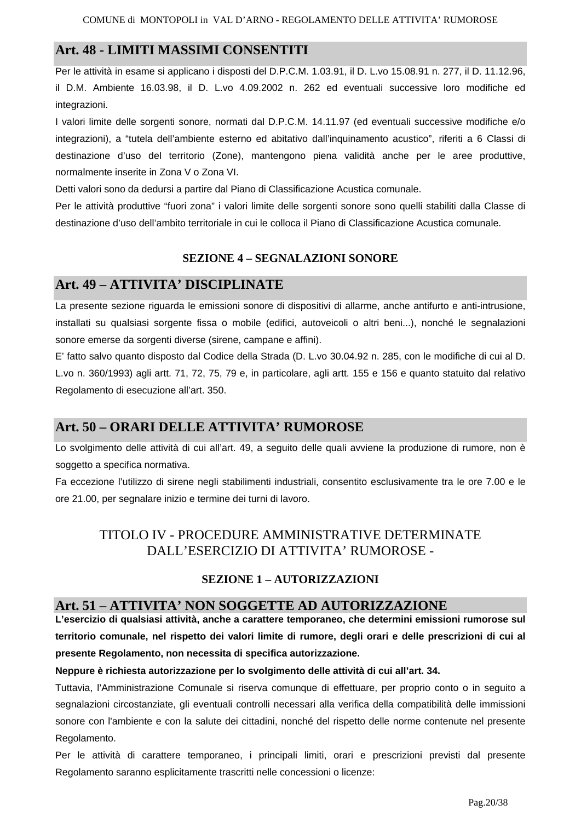# **Art. 48 - LIMITI MASSIMI CONSENTITI**

Per le attività in esame si applicano i disposti del D.P.C.M. 1.03.91, il D. L.vo 15.08.91 n. 277, il D. 11.12.96, il D.M. Ambiente 16.03.98, il D. L.vo 4.09.2002 n. 262 ed eventuali successive loro modifiche ed integrazioni.

I valori limite delle sorgenti sonore, normati dal D.P.C.M. 14.11.97 (ed eventuali successive modifiche e/o integrazioni), a "tutela dell'ambiente esterno ed abitativo dall'inquinamento acustico", riferiti a 6 Classi di destinazione d'uso del territorio (Zone), mantengono piena validità anche per le aree produttive, normalmente inserite in Zona V o Zona VI.

Detti valori sono da dedursi a partire dal Piano di Classificazione Acustica comunale.

Per le attività produttive "fuori zona" i valori limite delle sorgenti sonore sono quelli stabiliti dalla Classe di destinazione d'uso dell'ambito territoriale in cui le colloca il Piano di Classificazione Acustica comunale.

### **SEZIONE 4 – SEGNALAZIONI SONORE**

# **Art. 49 – ATTIVITA' DISCIPLINATE**

La presente sezione riguarda le emissioni sonore di dispositivi di allarme, anche antifurto e anti-intrusione, installati su qualsiasi sorgente fissa o mobile (edifici, autoveicoli o altri beni...), nonché le segnalazioni sonore emerse da sorgenti diverse (sirene, campane e affini).

E' fatto salvo quanto disposto dal Codice della Strada (D. L.vo 30.04.92 n. 285, con le modifiche di cui al D. L.vo n. 360/1993) agli artt. 71, 72, 75, 79 e, in particolare, agli artt. 155 e 156 e quanto statuito dal relativo Regolamento di esecuzione all'art. 350.

# **Art. 50 – ORARI DELLE ATTIVITA' RUMOROSE**

Lo svolgimento delle attività di cui all'art. 49, a seguito delle quali avviene la produzione di rumore, non è soggetto a specifica normativa.

Fa eccezione l'utilizzo di sirene negli stabilimenti industriali, consentito esclusivamente tra le ore 7.00 e le ore 21.00, per segnalare inizio e termine dei turni di lavoro.

# TITOLO IV - PROCEDURE AMMINISTRATIVE DETERMINATE DALL'ESERCIZIO DI ATTIVITA' RUMOROSE -

### **SEZIONE 1 – AUTORIZZAZIONI**

### **Art. 51 – ATTIVITA' NON SOGGETTE AD AUTORIZZAZIONE**

**L'esercizio di qualsiasi attività, anche a carattere temporaneo, che determini emissioni rumorose sul territorio comunale, nel rispetto dei valori limite di rumore, degli orari e delle prescrizioni di cui al presente Regolamento, non necessita di specifica autorizzazione.** 

#### **Neppure è richiesta autorizzazione per lo svolgimento delle attività di cui all'art. 34.**

Tuttavia, l'Amministrazione Comunale si riserva comunque di effettuare, per proprio conto o in seguito a segnalazioni circostanziate, gli eventuali controlli necessari alla verifica della compatibilità delle immissioni sonore con l'ambiente e con la salute dei cittadini, nonché del rispetto delle norme contenute nel presente Regolamento.

Per le attività di carattere temporaneo, i principali limiti, orari e prescrizioni previsti dal presente Regolamento saranno esplicitamente trascritti nelle concessioni o licenze: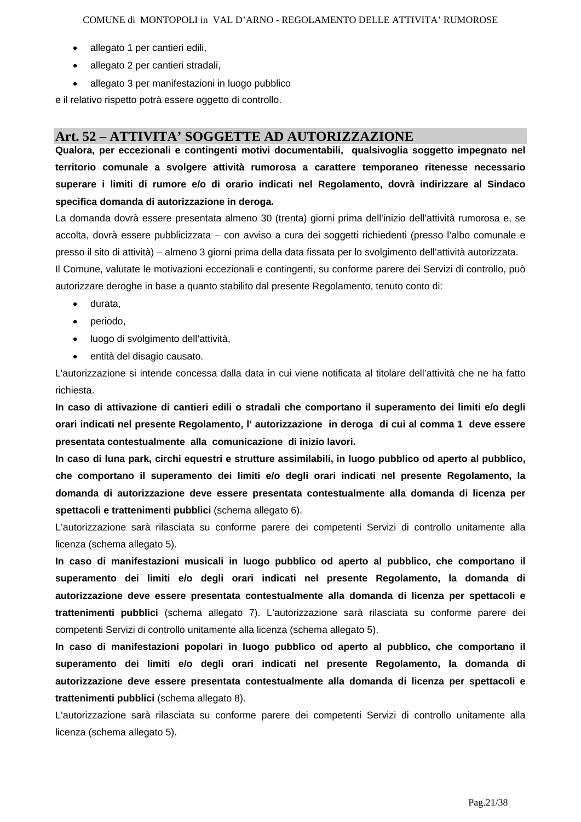- allegato 1 per cantieri edili,
- allegato 2 per cantieri stradali,
- allegato 3 per manifestazioni in luogo pubblico

e il relativo rispetto potrà essere oggetto di controllo.

### **Art. 52 – ATTIVITA' SOGGETTE AD AUTORIZZAZIONE**

**Qualora, per eccezionali e contingenti motivi documentabili, qualsivoglia soggetto impegnato nel territorio comunale a svolgere attività rumorosa a carattere temporaneo ritenesse necessario superare i limiti di rumore e/o di orario indicati nel Regolamento, dovrà indirizzare al Sindaco specifica domanda di autorizzazione in deroga.** 

La domanda dovrà essere presentata almeno 30 (trenta) giorni prima dell'inizio dell'attività rumorosa e, se accolta, dovrà essere pubblicizzata – con avviso a cura dei soggetti richiedenti (presso l'albo comunale e presso il sito di attività) – almeno 3 giorni prima della data fissata per lo svolgimento dell'attività autorizzata. Il Comune, valutate le motivazioni eccezionali e contingenti, su conforme parere dei Servizi di controllo, può autorizzare deroghe in base a quanto stabilito dal presente Regolamento, tenuto conto di:

- durata,
- periodo,
- luogo di svolgimento dell'attività,
- entità del disagio causato.

L'autorizzazione si intende concessa dalla data in cui viene notificata al titolare dell'attività che ne ha fatto richiesta.

**In caso di attivazione di cantieri edili o stradali che comportano il superamento dei limiti e/o degli orari indicati nel presente Regolamento, l' autorizzazione in deroga di cui al comma 1 deve essere presentata contestualmente alla comunicazione di inizio lavori.** 

**In caso di luna park, circhi equestri e strutture assimilabili, in luogo pubblico od aperto al pubblico, che comportano il superamento dei limiti e/o degli orari indicati nel presente Regolamento, la domanda di autorizzazione deve essere presentata contestualmente alla domanda di licenza per spettacoli e trattenimenti pubblici** (schema allegato 6).

L'autorizzazione sarà rilasciata su conforme parere dei competenti Servizi di controllo unitamente alla licenza (schema allegato 5).

**In caso di manifestazioni musicali in luogo pubblico od aperto al pubblico, che comportano il superamento dei limiti e/o degli orari indicati nel presente Regolamento, la domanda di autorizzazione deve essere presentata contestualmente alla domanda di licenza per spettacoli e trattenimenti pubblici** (schema allegato 7). L'autorizzazione sarà rilasciata su conforme parere dei competenti Servizi di controllo unitamente alla licenza (schema allegato 5).

**In caso di manifestazioni popolari in luogo pubblico od aperto al pubblico, che comportano il superamento dei limiti e/o degli orari indicati nel presente Regolamento, la domanda di autorizzazione deve essere presentata contestualmente alla domanda di licenza per spettacoli e trattenimenti pubblici** (schema allegato 8).

L'autorizzazione sarà rilasciata su conforme parere dei competenti Servizi di controllo unitamente alla licenza (schema allegato 5).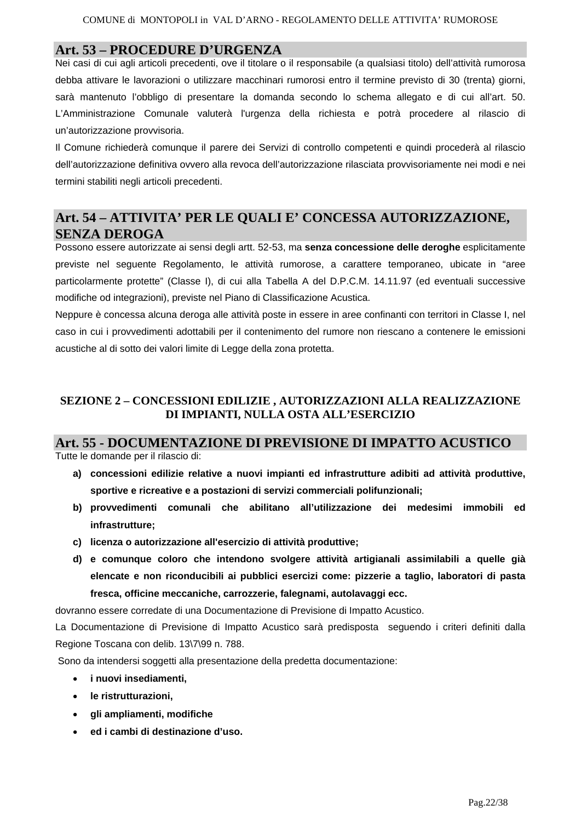### **Art. 53 – PROCEDURE D'URGENZA**

Nei casi di cui agli articoli precedenti, ove il titolare o il responsabile (a qualsiasi titolo) dell'attività rumorosa debba attivare le lavorazioni o utilizzare macchinari rumorosi entro il termine previsto di 30 (trenta) giorni, sarà mantenuto l'obbligo di presentare la domanda secondo lo schema allegato e di cui all'art. 50. L'Amministrazione Comunale valuterà l'urgenza della richiesta e potrà procedere al rilascio di un'autorizzazione provvisoria.

Il Comune richiederà comunque il parere dei Servizi di controllo competenti e quindi procederà al rilascio dell'autorizzazione definitiva ovvero alla revoca dell'autorizzazione rilasciata provvisoriamente nei modi e nei termini stabiliti negli articoli precedenti.

# **Art. 54 – ATTIVITA' PER LE QUALI E' CONCESSA AUTORIZZAZIONE, SENZA DEROGA**

Possono essere autorizzate ai sensi degli artt. 52-53, ma **senza concessione delle deroghe** esplicitamente previste nel seguente Regolamento, le attività rumorose, a carattere temporaneo, ubicate in "aree particolarmente protette" (Classe I), di cui alla Tabella A del D.P.C.M. 14.11.97 (ed eventuali successive modifiche od integrazioni), previste nel Piano di Classificazione Acustica.

Neppure è concessa alcuna deroga alle attività poste in essere in aree confinanti con territori in Classe I, nel caso in cui i provvedimenti adottabili per il contenimento del rumore non riescano a contenere le emissioni acustiche al di sotto dei valori limite di Legge della zona protetta.

### **SEZIONE 2 – CONCESSIONI EDILIZIE , AUTORIZZAZIONI ALLA REALIZZAZIONE DI IMPIANTI, NULLA OSTA ALL'ESERCIZIO**

### **Art. 55 - DOCUMENTAZIONE DI PREVISIONE DI IMPATTO ACUSTICO**

Tutte le domande per il rilascio di:

- **a) concessioni edilizie relative a nuovi impianti ed infrastrutture adibiti ad attività produttive, sportive e ricreative e a postazioni di servizi commerciali polifunzionali;**
- **b) provvedimenti comunali che abilitano all'utilizzazione dei medesimi immobili ed infrastrutture;**
- **c) licenza o autorizzazione all'esercizio di attività produttive;**
- **d) e comunque coloro che intendono svolgere attività artigianali assimilabili a quelle già elencate e non riconducibili ai pubblici esercizi come: pizzerie a taglio, laboratori di pasta fresca, officine meccaniche, carrozzerie, falegnami, autolavaggi ecc.**

dovranno essere corredate di una Documentazione di Previsione di Impatto Acustico.

La Documentazione di Previsione di Impatto Acustico sarà predisposta seguendo i criteri definiti dalla Regione Toscana con delib. 13\7\99 n. 788.

Sono da intendersi soggetti alla presentazione della predetta documentazione:

- **i nuovi insediamenti,**
- **le ristrutturazioni,**
- **gli ampliamenti, modifiche**
- **ed i cambi di destinazione d'uso.**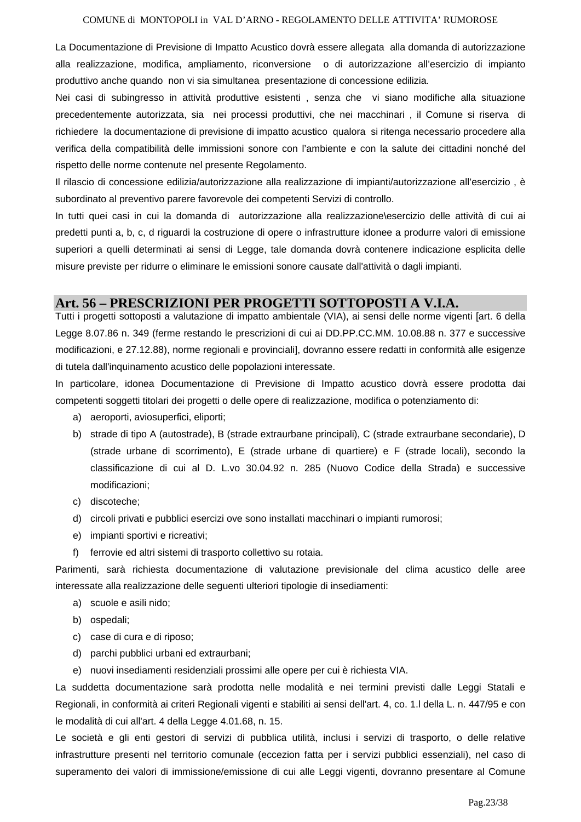#### COMUNE di MONTOPOLI in VAL D'ARNO - REGOLAMENTO DELLE ATTIVITA' RUMOROSE

La Documentazione di Previsione di Impatto Acustico dovrà essere allegata alla domanda di autorizzazione alla realizzazione, modifica, ampliamento, riconversione o di autorizzazione all'esercizio di impianto produttivo anche quando non vi sia simultanea presentazione di concessione edilizia.

Nei casi di subingresso in attività produttive esistenti , senza che vi siano modifiche alla situazione precedentemente autorizzata, sia nei processi produttivi, che nei macchinari , il Comune si riserva di richiedere la documentazione di previsione di impatto acustico qualora si ritenga necessario procedere alla verifica della compatibilità delle immissioni sonore con l'ambiente e con la salute dei cittadini nonché del rispetto delle norme contenute nel presente Regolamento.

Il rilascio di concessione edilizia/autorizzazione alla realizzazione di impianti/autorizzazione all'esercizio , è subordinato al preventivo parere favorevole dei competenti Servizi di controllo.

In tutti quei casi in cui la domanda di autorizzazione alla realizzazione\esercizio delle attività di cui ai predetti punti a, b, c, d riguardi la costruzione di opere o infrastrutture idonee a produrre valori di emissione superiori a quelli determinati ai sensi di Legge, tale domanda dovrà contenere indicazione esplicita delle misure previste per ridurre o eliminare le emissioni sonore causate dall'attività o dagli impianti.

### **Art. 56 – PRESCRIZIONI PER PROGETTI SOTTOPOSTI A V.I.A.**

Tutti i progetti sottoposti a valutazione di impatto ambientale (VIA), ai sensi delle norme vigenti [art. 6 della Legge 8.07.86 n. 349 (ferme restando le prescrizioni di cui ai DD.PP.CC.MM. 10.08.88 n. 377 e successive modificazioni, e 27.12.88), norme regionali e provinciali], dovranno essere redatti in conformità alle esigenze di tutela dall'inquinamento acustico delle popolazioni interessate.

In particolare, idonea Documentazione di Previsione di Impatto acustico dovrà essere prodotta dai competenti soggetti titolari dei progetti o delle opere di realizzazione, modifica o potenziamento di:

- a) aeroporti, aviosuperfici, eliporti;
- b) strade di tipo A (autostrade), B (strade extraurbane principali), C (strade extraurbane secondarie), D (strade urbane di scorrimento), E (strade urbane di quartiere) e F (strade locali), secondo la classificazione di cui al D. L.vo 30.04.92 n. 285 (Nuovo Codice della Strada) e successive modificazioni;
- c) discoteche;
- d) circoli privati e pubblici esercizi ove sono installati macchinari o impianti rumorosi;
- e) impianti sportivi e ricreativi;
- f) ferrovie ed altri sistemi di trasporto collettivo su rotaia.

Parimenti, sarà richiesta documentazione di valutazione previsionale del clima acustico delle aree interessate alla realizzazione delle seguenti ulteriori tipologie di insediamenti:

- a) scuole e asili nido;
- b) ospedali;
- c) case di cura e di riposo;
- d) parchi pubblici urbani ed extraurbani;
- e) nuovi insediamenti residenziali prossimi alle opere per cui è richiesta VIA.

La suddetta documentazione sarà prodotta nelle modalità e nei termini previsti dalle Leggi Statali e Regionali, in conformità ai criteri Regionali vigenti e stabiliti ai sensi dell'art. 4, co. 1.l della L. n. 447/95 e con le modalità di cui all'art. 4 della Legge 4.01.68, n. 15.

Le società e gli enti gestori di servizi di pubblica utilità, inclusi i servizi di trasporto, o delle relative infrastrutture presenti nel territorio comunale (eccezion fatta per i servizi pubblici essenziali), nel caso di superamento dei valori di immissione/emissione di cui alle Leggi vigenti, dovranno presentare al Comune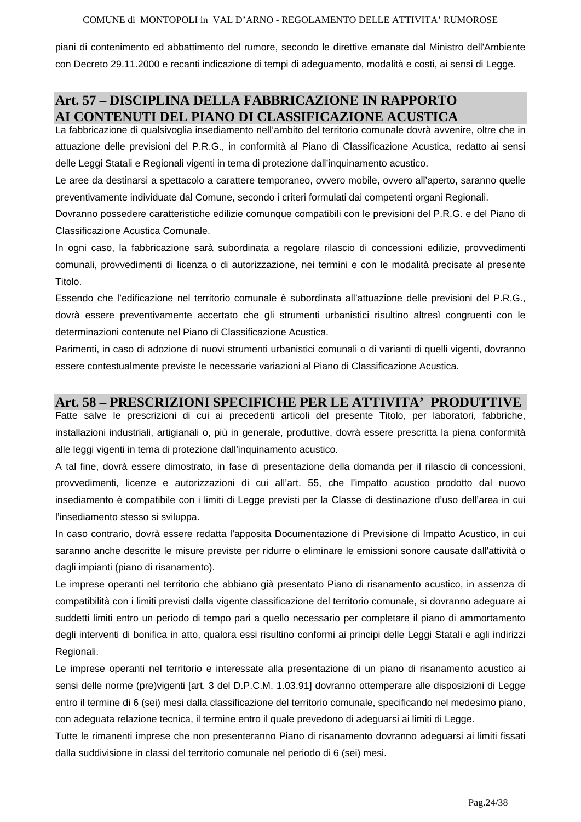#### COMUNE di MONTOPOLI in VAL D'ARNO - REGOLAMENTO DELLE ATTIVITA' RUMOROSE

piani di contenimento ed abbattimento del rumore, secondo le direttive emanate dal Ministro dell'Ambiente con Decreto 29.11.2000 e recanti indicazione di tempi di adeguamento, modalità e costi, ai sensi di Legge.

# **Art. 57 – DISCIPLINA DELLA FABBRICAZIONE IN RAPPORTO AI CONTENUTI DEL PIANO DI CLASSIFICAZIONE ACUSTICA**

La fabbricazione di qualsivoglia insediamento nell'ambito del territorio comunale dovrà avvenire, oltre che in attuazione delle previsioni del P.R.G., in conformità al Piano di Classificazione Acustica, redatto ai sensi delle Leggi Statali e Regionali vigenti in tema di protezione dall'inquinamento acustico.

Le aree da destinarsi a spettacolo a carattere temporaneo, ovvero mobile, ovvero all'aperto, saranno quelle preventivamente individuate dal Comune, secondo i criteri formulati dai competenti organi Regionali.

Dovranno possedere caratteristiche edilizie comunque compatibili con le previsioni del P.R.G. e del Piano di Classificazione Acustica Comunale.

In ogni caso, la fabbricazione sarà subordinata a regolare rilascio di concessioni edilizie, provvedimenti comunali, provvedimenti di licenza o di autorizzazione, nei termini e con le modalità precisate al presente Titolo.

Essendo che l'edificazione nel territorio comunale è subordinata all'attuazione delle previsioni del P.R.G., dovrà essere preventivamente accertato che gli strumenti urbanistici risultino altresì congruenti con le determinazioni contenute nel Piano di Classificazione Acustica.

Parimenti, in caso di adozione di nuovi strumenti urbanistici comunali o di varianti di quelli vigenti, dovranno essere contestualmente previste le necessarie variazioni al Piano di Classificazione Acustica.

### **Art. 58 – PRESCRIZIONI SPECIFICHE PER LE ATTIVITA' PRODUTTIVE**

Fatte salve le prescrizioni di cui ai precedenti articoli del presente Titolo, per laboratori, fabbriche, installazioni industriali, artigianali o, più in generale, produttive, dovrà essere prescritta la piena conformità alle leggi vigenti in tema di protezione dall'inquinamento acustico.

A tal fine, dovrà essere dimostrato, in fase di presentazione della domanda per il rilascio di concessioni, provvedimenti, licenze e autorizzazioni di cui all'art. 55, che l'impatto acustico prodotto dal nuovo insediamento è compatibile con i limiti di Legge previsti per la Classe di destinazione d'uso dell'area in cui l'insediamento stesso si sviluppa.

In caso contrario, dovrà essere redatta l'apposita Documentazione di Previsione di Impatto Acustico, in cui saranno anche descritte le misure previste per ridurre o eliminare le emissioni sonore causate dall'attività o dagli impianti (piano di risanamento).

Le imprese operanti nel territorio che abbiano già presentato Piano di risanamento acustico, in assenza di compatibilità con i limiti previsti dalla vigente classificazione del territorio comunale, si dovranno adeguare ai suddetti limiti entro un periodo di tempo pari a quello necessario per completare il piano di ammortamento degli interventi di bonifica in atto, qualora essi risultino conformi ai principi delle Leggi Statali e agli indirizzi Regionali.

Le imprese operanti nel territorio e interessate alla presentazione di un piano di risanamento acustico ai sensi delle norme (pre)vigenti [art. 3 del D.P.C.M. 1.03.91] dovranno ottemperare alle disposizioni di Legge entro il termine di 6 (sei) mesi dalla classificazione del territorio comunale, specificando nel medesimo piano, con adeguata relazione tecnica, il termine entro il quale prevedono di adeguarsi ai limiti di Legge.

Tutte le rimanenti imprese che non presenteranno Piano di risanamento dovranno adeguarsi ai limiti fissati dalla suddivisione in classi del territorio comunale nel periodo di 6 (sei) mesi.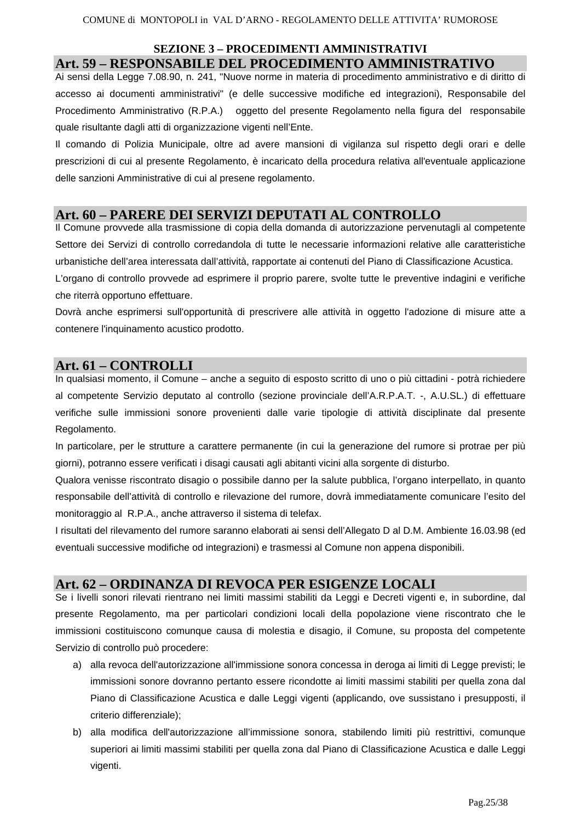### **SEZIONE 3 – PROCEDIMENTI AMMINISTRATIVI Art. 59 – RESPONSABILE DEL PROCEDIMENTO AMMINISTRATIVO**

Ai sensi della Legge 7.08.90, n. 241, "Nuove norme in materia di procedimento amministrativo e di diritto di accesso ai documenti amministrativi" (e delle successive modifiche ed integrazioni), Responsabile del Procedimento Amministrativo (R.P.A.) oggetto del presente Regolamento nella figura del responsabile quale risultante dagli atti di organizzazione vigenti nell'Ente.

Il comando di Polizia Municipale, oltre ad avere mansioni di vigilanza sul rispetto degli orari e delle prescrizioni di cui al presente Regolamento, è incaricato della procedura relativa all'eventuale applicazione delle sanzioni Amministrative di cui al presene regolamento.

### **Art. 60 – PARERE DEI SERVIZI DEPUTATI AL CONTROLLO**

Il Comune provvede alla trasmissione di copia della domanda di autorizzazione pervenutagli al competente Settore dei Servizi di controllo corredandola di tutte le necessarie informazioni relative alle caratteristiche urbanistiche dell'area interessata dall'attività, rapportate ai contenuti del Piano di Classificazione Acustica. L'organo di controllo provvede ad esprimere il proprio parere, svolte tutte le preventive indagini e verifiche

che riterrà opportuno effettuare.

Dovrà anche esprimersi sull'opportunità di prescrivere alle attività in oggetto l'adozione di misure atte a contenere l'inquinamento acustico prodotto.

### **Art. 61 – CONTROLLI**

In qualsiasi momento, il Comune – anche a seguito di esposto scritto di uno o più cittadini - potrà richiedere al competente Servizio deputato al controllo (sezione provinciale dell'A.R.P.A.T. -, A.U.SL.) di effettuare verifiche sulle immissioni sonore provenienti dalle varie tipologie di attività disciplinate dal presente Regolamento.

In particolare, per le strutture a carattere permanente (in cui la generazione del rumore si protrae per più giorni), potranno essere verificati i disagi causati agli abitanti vicini alla sorgente di disturbo.

Qualora venisse riscontrato disagio o possibile danno per la salute pubblica, l'organo interpellato, in quanto responsabile dell'attività di controllo e rilevazione del rumore, dovrà immediatamente comunicare l'esito del monitoraggio al R.P.A., anche attraverso il sistema di telefax.

I risultati del rilevamento del rumore saranno elaborati ai sensi dell'Allegato D al D.M. Ambiente 16.03.98 (ed eventuali successive modifiche od integrazioni) e trasmessi al Comune non appena disponibili.

### **Art. 62 – ORDINANZA DI REVOCA PER ESIGENZE LOCALI**

Se i livelli sonori rilevati rientrano nei limiti massimi stabiliti da Leggi e Decreti vigenti e, in subordine, dal presente Regolamento, ma per particolari condizioni locali della popolazione viene riscontrato che le immissioni costituiscono comunque causa di molestia e disagio, il Comune, su proposta del competente Servizio di controllo può procedere:

- a) alla revoca dell'autorizzazione all'immissione sonora concessa in deroga ai limiti di Legge previsti; le immissioni sonore dovranno pertanto essere ricondotte ai limiti massimi stabiliti per quella zona dal Piano di Classificazione Acustica e dalle Leggi vigenti (applicando, ove sussistano i presupposti, il criterio differenziale);
- b) alla modifica dell'autorizzazione all'immissione sonora, stabilendo limiti più restrittivi, comunque superiori ai limiti massimi stabiliti per quella zona dal Piano di Classificazione Acustica e dalle Leggi vigenti.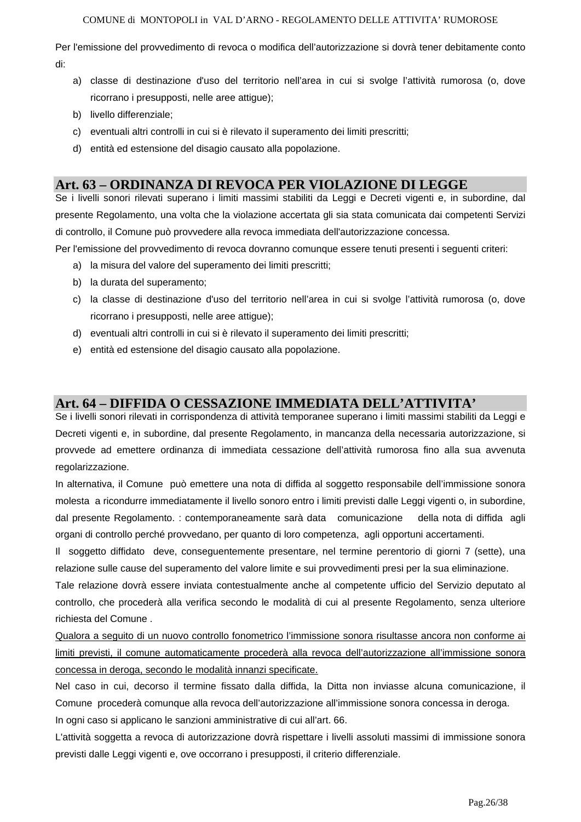Per l'emissione del provvedimento di revoca o modifica dell'autorizzazione si dovrà tener debitamente conto di:

- a) classe di destinazione d'uso del territorio nell'area in cui si svolge l'attività rumorosa (o, dove ricorrano i presupposti, nelle aree attigue);
- b) livello differenziale;
- c) eventuali altri controlli in cui si è rilevato il superamento dei limiti prescritti;
- d) entità ed estensione del disagio causato alla popolazione.

### **Art. 63 – ORDINANZA DI REVOCA PER VIOLAZIONE DI LEGGE**

Se i livelli sonori rilevati superano i limiti massimi stabiliti da Leggi e Decreti vigenti e, in subordine, dal presente Regolamento, una volta che la violazione accertata gli sia stata comunicata dai competenti Servizi di controllo, il Comune può provvedere alla revoca immediata dell'autorizzazione concessa.

Per l'emissione del provvedimento di revoca dovranno comunque essere tenuti presenti i seguenti criteri:

- a) la misura del valore del superamento dei limiti prescritti;
- b) la durata del superamento;
- c) la classe di destinazione d'uso del territorio nell'area in cui si svolge l'attività rumorosa (o, dove ricorrano i presupposti, nelle aree attigue);
- d) eventuali altri controlli in cui si è rilevato il superamento dei limiti prescritti;
- e) entità ed estensione del disagio causato alla popolazione.

### **Art. 64 – DIFFIDA O CESSAZIONE IMMEDIATA DELL'ATTIVITA'**

Se i livelli sonori rilevati in corrispondenza di attività temporanee superano i limiti massimi stabiliti da Leggi e Decreti vigenti e, in subordine, dal presente Regolamento, in mancanza della necessaria autorizzazione, si provvede ad emettere ordinanza di immediata cessazione dell'attività rumorosa fino alla sua avvenuta regolarizzazione.

In alternativa, il Comune può emettere una nota di diffida al soggetto responsabile dell'immissione sonora molesta a ricondurre immediatamente il livello sonoro entro i limiti previsti dalle Leggi vigenti o, in subordine, dal presente Regolamento. : contemporaneamente sarà data comunicazione della nota di diffida agli organi di controllo perché provvedano, per quanto di loro competenza, agli opportuni accertamenti.

Il soggetto diffidato deve, conseguentemente presentare, nel termine perentorio di giorni 7 (sette), una relazione sulle cause del superamento del valore limite e sui provvedimenti presi per la sua eliminazione.

Tale relazione dovrà essere inviata contestualmente anche al competente ufficio del Servizio deputato al controllo, che procederà alla verifica secondo le modalità di cui al presente Regolamento, senza ulteriore richiesta del Comune .

Qualora a seguito di un nuovo controllo fonometrico l'immissione sonora risultasse ancora non conforme ai limiti previsti, il comune automaticamente procederà alla revoca dell'autorizzazione all'immissione sonora concessa in deroga, secondo le modalità innanzi specificate.

Nel caso in cui, decorso il termine fissato dalla diffida, la Ditta non inviasse alcuna comunicazione, il Comune procederà comunque alla revoca dell'autorizzazione all'immissione sonora concessa in deroga. In ogni caso si applicano le sanzioni amministrative di cui all'art. 66.

L'attività soggetta a revoca di autorizzazione dovrà rispettare i livelli assoluti massimi di immissione sonora previsti dalle Leggi vigenti e, ove occorrano i presupposti, il criterio differenziale.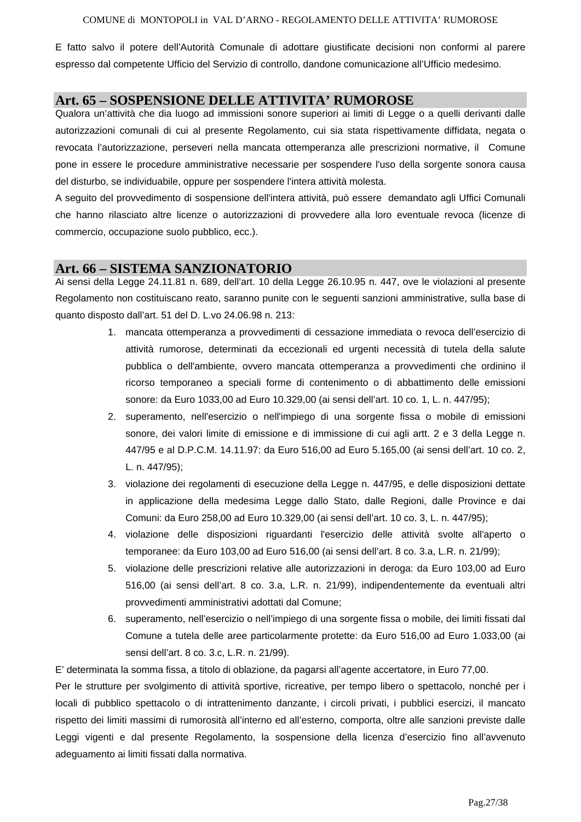E fatto salvo il potere dell'Autorità Comunale di adottare giustificate decisioni non conformi al parere espresso dal competente Ufficio del Servizio di controllo, dandone comunicazione all'Ufficio medesimo.

### **Art. 65 – SOSPENSIONE DELLE ATTIVITA' RUMOROSE**

Qualora un'attività che dia luogo ad immissioni sonore superiori ai limiti di Legge o a quelli derivanti dalle autorizzazioni comunali di cui al presente Regolamento, cui sia stata rispettivamente diffidata, negata o revocata l'autorizzazione, perseveri nella mancata ottemperanza alle prescrizioni normative, il Comune pone in essere le procedure amministrative necessarie per sospendere l'uso della sorgente sonora causa del disturbo, se individuabile, oppure per sospendere l'intera attività molesta.

A seguito del provvedimento di sospensione dell'intera attività, può essere demandato agli Uffici Comunali che hanno rilasciato altre licenze o autorizzazioni di provvedere alla loro eventuale revoca (licenze di commercio, occupazione suolo pubblico, ecc.).

#### **Art. 66 – SISTEMA SANZIONATORIO**

Ai sensi della Legge 24.11.81 n. 689, dell'art. 10 della Legge 26.10.95 n. 447, ove le violazioni al presente Regolamento non costituiscano reato, saranno punite con le seguenti sanzioni amministrative, sulla base di quanto disposto dall'art. 51 del D. L.vo 24.06.98 n. 213:

- 1. mancata ottemperanza a provvedimenti di cessazione immediata o revoca dell'esercizio di attività rumorose, determinati da eccezionali ed urgenti necessità di tutela della salute pubblica o dell'ambiente, ovvero mancata ottemperanza a provvedimenti che ordinino il ricorso temporaneo a speciali forme di contenimento o di abbattimento delle emissioni sonore: da Euro 1033,00 ad Euro 10.329,00 (ai sensi dell'art. 10 co. 1, L. n. 447/95);
- 2. superamento, nell'esercizio o nell'impiego di una sorgente fissa o mobile di emissioni sonore, dei valori limite di emissione e di immissione di cui agli artt. 2 e 3 della Legge n. 447/95 e al D.P.C.M. 14.11.97: da Euro 516,00 ad Euro 5.165,00 (ai sensi dell'art. 10 co. 2, L. n. 447/95);
- 3. violazione dei regolamenti di esecuzione della Legge n. 447/95, e delle disposizioni dettate in applicazione della medesima Legge dallo Stato, dalle Regioni, dalle Province e dai Comuni: da Euro 258,00 ad Euro 10.329,00 (ai sensi dell'art. 10 co. 3, L. n. 447/95);
- 4. violazione delle disposizioni riguardanti l'esercizio delle attività svolte all'aperto o temporanee: da Euro 103,00 ad Euro 516,00 (ai sensi dell'art. 8 co. 3.a, L.R. n. 21/99);
- 5. violazione delle prescrizioni relative alle autorizzazioni in deroga: da Euro 103,00 ad Euro 516,00 (ai sensi dell'art. 8 co. 3.a, L.R. n. 21/99), indipendentemente da eventuali altri provvedimenti amministrativi adottati dal Comune;
- 6. superamento, nell'esercizio o nell'impiego di una sorgente fissa o mobile, dei limiti fissati dal Comune a tutela delle aree particolarmente protette: da Euro 516,00 ad Euro 1.033,00 (ai sensi dell'art. 8 co. 3.c, L.R. n. 21/99).

E' determinata la somma fissa, a titolo di oblazione, da pagarsi all'agente accertatore, in Euro 77,00.

Per le strutture per svolgimento di attività sportive, ricreative, per tempo libero o spettacolo, nonché per i locali di pubblico spettacolo o di intrattenimento danzante, i circoli privati, i pubblici esercizi, il mancato rispetto dei limiti massimi di rumorosità all'interno ed all'esterno, comporta, oltre alle sanzioni previste dalle Leggi vigenti e dal presente Regolamento, la sospensione della licenza d'esercizio fino all'avvenuto adeguamento ai limiti fissati dalla normativa.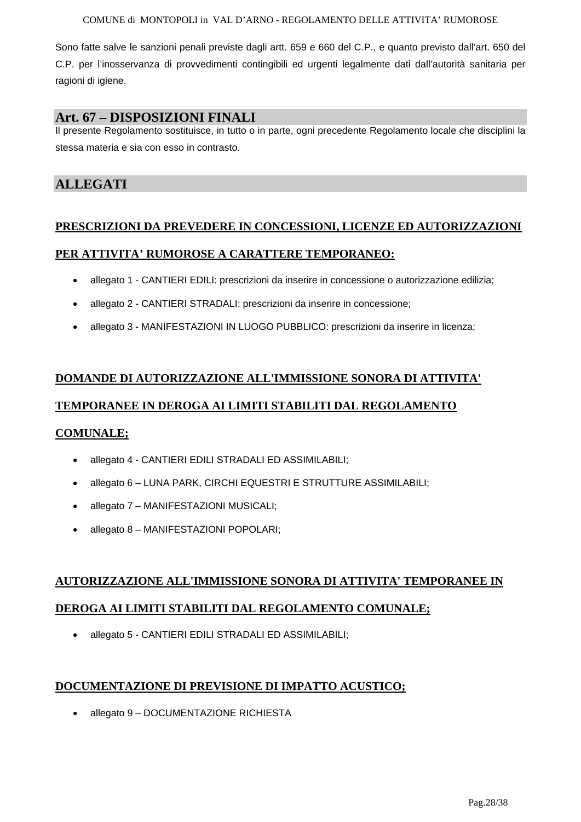Sono fatte salve le sanzioni penali previste dagli artt. 659 e 660 del C.P., e quanto previsto dall'art. 650 del C.P. per l'inosservanza di provvedimenti contingibili ed urgenti legalmente dati dall'autorità sanitaria per ragioni di igiene.

### **Art. 67 – DISPOSIZIONI FINALI**

Il presente Regolamento sostituisce, in tutto o in parte, ogni precedente Regolamento locale che disciplini la stessa materia e sia con esso in contrasto.

# **ALLEGATI**

### **PRESCRIZIONI DA PREVEDERE IN CONCESSIONI, LICENZE ED AUTORIZZAZIONI**

### **PER ATTIVITA' RUMOROSE A CARATTERE TEMPORANEO:**

- allegato 1 CANTIERI EDILI: prescrizioni da inserire in concessione o autorizzazione edilizia;
- allegato 2 CANTIERI STRADALI: prescrizioni da inserire in concessione;
- allegato 3 MANIFESTAZIONI IN LUOGO PUBBLICO: prescrizioni da inserire in licenza;

# **DOMANDE DI AUTORIZZAZIONE ALL'IMMISSIONE SONORA DI ATTIVITA' TEMPORANEE IN DEROGA AI LIMITI STABILITI DAL REGOLAMENTO**

#### **COMUNALE;**

- allegato 4 CANTIERI EDILI STRADALI ED ASSIMILABILI;
- allegato 6 LUNA PARK, CIRCHI EQUESTRI E STRUTTURE ASSIMILABILI;
- allegato 7 MANIFESTAZIONI MUSICALI;
- allegato 8 MANIFESTAZIONI POPOLARI;

# **AUTORIZZAZIONE ALL'IMMISSIONE SONORA DI ATTIVITA' TEMPORANEE IN DEROGA AI LIMITI STABILITI DAL REGOLAMENTO COMUNALE;**

• allegato 5 - CANTIERI EDILI STRADALI ED ASSIMILABILI;

### **DOCUMENTAZIONE DI PREVISIONE DI IMPATTO ACUSTICO;**

• allegato 9 – DOCUMENTAZIONE RICHIESTA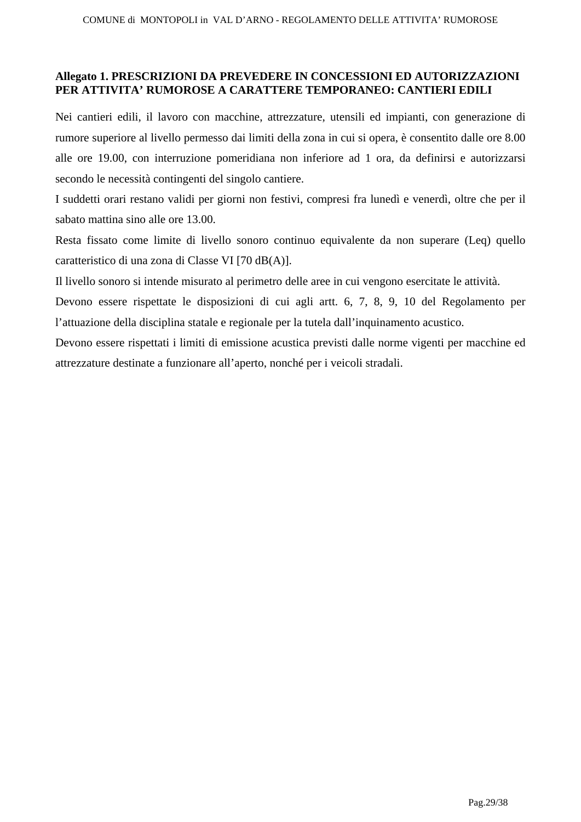### **Allegato 1. PRESCRIZIONI DA PREVEDERE IN CONCESSIONI ED AUTORIZZAZIONI PER ATTIVITA' RUMOROSE A CARATTERE TEMPORANEO: CANTIERI EDILI**

Nei cantieri edili, il lavoro con macchine, attrezzature, utensili ed impianti, con generazione di rumore superiore al livello permesso dai limiti della zona in cui si opera, è consentito dalle ore 8.00 alle ore 19.00, con interruzione pomeridiana non inferiore ad 1 ora, da definirsi e autorizzarsi secondo le necessità contingenti del singolo cantiere.

I suddetti orari restano validi per giorni non festivi, compresi fra lunedì e venerdì, oltre che per il sabato mattina sino alle ore 13.00.

Resta fissato come limite di livello sonoro continuo equivalente da non superare (Leq) quello caratteristico di una zona di Classe VI [70 dB(A)].

Il livello sonoro si intende misurato al perimetro delle aree in cui vengono esercitate le attività.

Devono essere rispettate le disposizioni di cui agli artt. 6, 7, 8, 9, 10 del Regolamento per l'attuazione della disciplina statale e regionale per la tutela dall'inquinamento acustico.

Devono essere rispettati i limiti di emissione acustica previsti dalle norme vigenti per macchine ed attrezzature destinate a funzionare all'aperto, nonché per i veicoli stradali.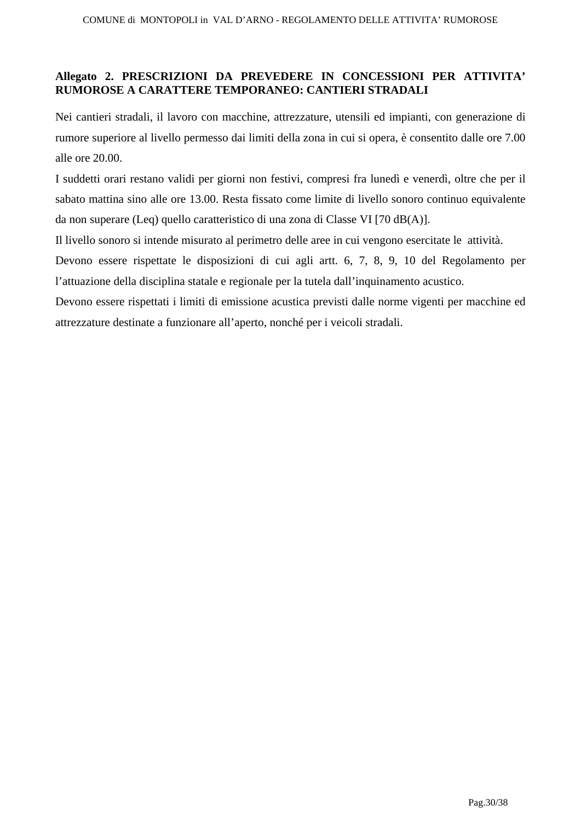### **Allegato 2. PRESCRIZIONI DA PREVEDERE IN CONCESSIONI PER ATTIVITA' RUMOROSE A CARATTERE TEMPORANEO: CANTIERI STRADALI**

Nei cantieri stradali, il lavoro con macchine, attrezzature, utensili ed impianti, con generazione di rumore superiore al livello permesso dai limiti della zona in cui si opera, è consentito dalle ore 7.00 alle ore 20.00.

I suddetti orari restano validi per giorni non festivi, compresi fra lunedì e venerdì, oltre che per il sabato mattina sino alle ore 13.00. Resta fissato come limite di livello sonoro continuo equivalente da non superare (Leq) quello caratteristico di una zona di Classe VI [70 dB(A)].

Il livello sonoro si intende misurato al perimetro delle aree in cui vengono esercitate le attività.

Devono essere rispettate le disposizioni di cui agli artt. 6, 7, 8, 9, 10 del Regolamento per l'attuazione della disciplina statale e regionale per la tutela dall'inquinamento acustico.

Devono essere rispettati i limiti di emissione acustica previsti dalle norme vigenti per macchine ed attrezzature destinate a funzionare all'aperto, nonché per i veicoli stradali.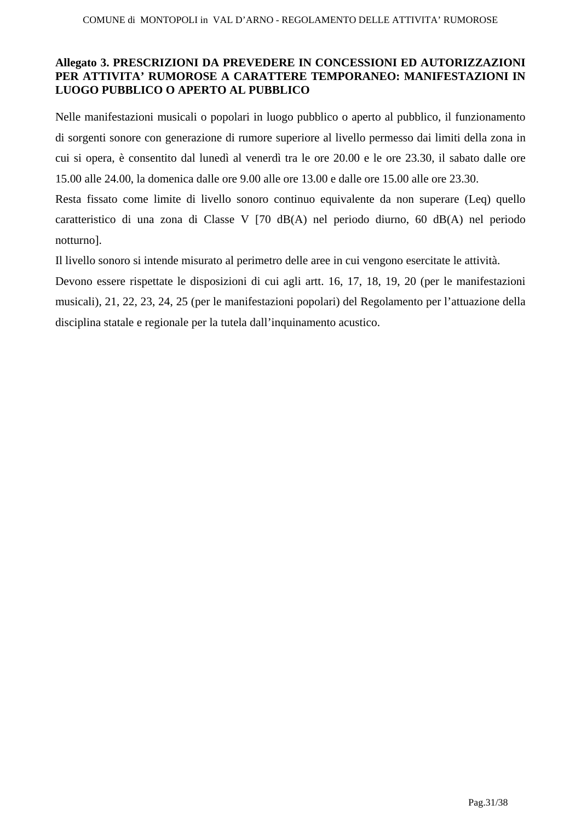### **Allegato 3. PRESCRIZIONI DA PREVEDERE IN CONCESSIONI ED AUTORIZZAZIONI PER ATTIVITA' RUMOROSE A CARATTERE TEMPORANEO: MANIFESTAZIONI IN LUOGO PUBBLICO O APERTO AL PUBBLICO**

Nelle manifestazioni musicali o popolari in luogo pubblico o aperto al pubblico, il funzionamento di sorgenti sonore con generazione di rumore superiore al livello permesso dai limiti della zona in cui si opera, è consentito dal lunedì al venerdì tra le ore 20.00 e le ore 23.30, il sabato dalle ore 15.00 alle 24.00, la domenica dalle ore 9.00 alle ore 13.00 e dalle ore 15.00 alle ore 23.30.

Resta fissato come limite di livello sonoro continuo equivalente da non superare (Leq) quello caratteristico di una zona di Classe V [70 dB(A) nel periodo diurno, 60 dB(A) nel periodo notturno].

Il livello sonoro si intende misurato al perimetro delle aree in cui vengono esercitate le attività.

Devono essere rispettate le disposizioni di cui agli artt. 16, 17, 18, 19, 20 (per le manifestazioni musicali), 21, 22, 23, 24, 25 (per le manifestazioni popolari) del Regolamento per l'attuazione della disciplina statale e regionale per la tutela dall'inquinamento acustico.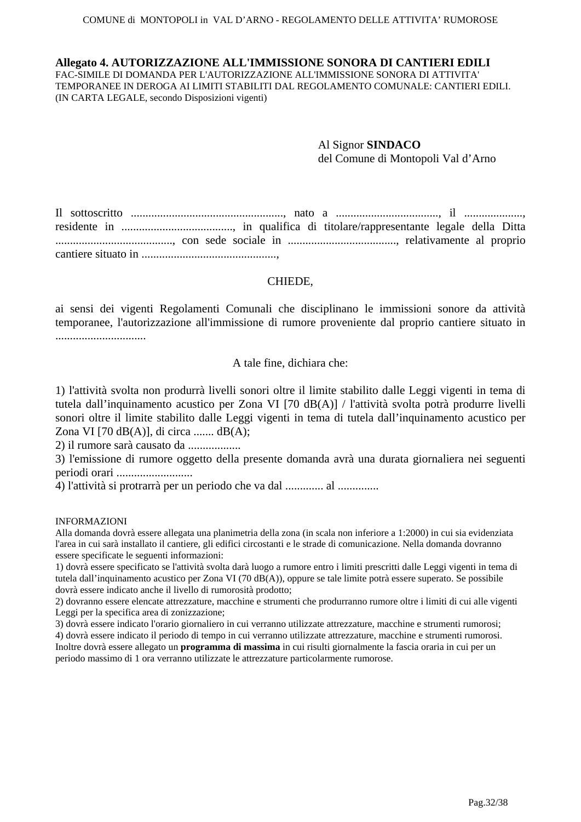#### **Allegato 4. AUTORIZZAZIONE ALL'IMMISSIONE SONORA DI CANTIERI EDILI**

FAC-SIMILE DI DOMANDA PER L'AUTORIZZAZIONE ALL'IMMISSIONE SONORA DI ATTIVITA' TEMPORANEE IN DEROGA AI LIMITI STABILITI DAL REGOLAMENTO COMUNALE: CANTIERI EDILI. (IN CARTA LEGALE, secondo Disposizioni vigenti)

> Al Signor **SINDACO**  del Comune di Montopoli Val d'Arno

Il sottoscritto ...................................................., nato a ..................................., il ...................., residente in ......................................, in qualifica di titolare/rappresentante legale della Ditta ........................................, con sede sociale in ....................................., relativamente al proprio cantiere situato in ..............................................,

#### CHIEDE,

ai sensi dei vigenti Regolamenti Comunali che disciplinano le immissioni sonore da attività temporanee, l'autorizzazione all'immissione di rumore proveniente dal proprio cantiere situato in ...............................

#### A tale fine, dichiara che:

1) l'attività svolta non produrrà livelli sonori oltre il limite stabilito dalle Leggi vigenti in tema di tutela dall'inquinamento acustico per Zona VI [70 dB(A)] / l'attività svolta potrà produrre livelli sonori oltre il limite stabilito dalle Leggi vigenti in tema di tutela dall'inquinamento acustico per Zona VI [70 dB(A)], di circa ....... dB(A);

2) il rumore sarà causato da ..................

3) l'emissione di rumore oggetto della presente domanda avrà una durata giornaliera nei seguenti periodi orari ..........................

4) l'attività si protrarrà per un periodo che va dal ............. al ..............

#### INFORMAZIONI

Alla domanda dovrà essere allegata una planimetria della zona (in scala non inferiore a 1:2000) in cui sia evidenziata l'area in cui sarà installato il cantiere, gli edifici circostanti e le strade di comunicazione. Nella domanda dovranno essere specificate le seguenti informazioni:

1) dovrà essere specificato se l'attività svolta darà luogo a rumore entro i limiti prescritti dalle Leggi vigenti in tema di tutela dall'inquinamento acustico per Zona VI (70 dB(A)), oppure se tale limite potrà essere superato. Se possibile dovrà essere indicato anche il livello di rumorosità prodotto;

2) dovranno essere elencate attrezzature, macchine e strumenti che produrranno rumore oltre i limiti di cui alle vigenti Leggi per la specifica area di zonizzazione;

3) dovrà essere indicato l'orario giornaliero in cui verranno utilizzate attrezzature, macchine e strumenti rumorosi; 4) dovrà essere indicato il periodo di tempo in cui verranno utilizzate attrezzature, macchine e strumenti rumorosi. Inoltre dovrà essere allegato un **programma di massima** in cui risulti giornalmente la fascia oraria in cui per un periodo massimo di 1 ora verranno utilizzate le attrezzature particolarmente rumorose.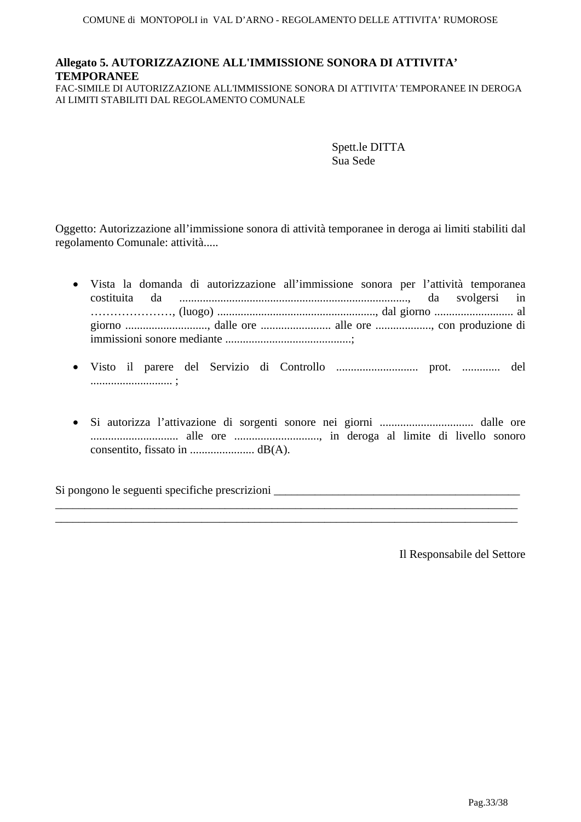# **Allegato 5. AUTORIZZAZIONE ALL'IMMISSIONE SONORA DI ATTIVITA' TEMPORANEE**

FAC-SIMILE DI AUTORIZZAZIONE ALL'IMMISSIONE SONORA DI ATTIVITA' TEMPORANEE IN DEROGA AI LIMITI STABILITI DAL REGOLAMENTO COMUNALE

> Spett.le DITTA Sua Sede

Oggetto: Autorizzazione all'immissione sonora di attività temporanee in deroga ai limiti stabiliti dal regolamento Comunale: attività.....

- Vista la domanda di autorizzazione all'immissione sonora per l'attività temporanea costituita da .............................................................................., da svolgersi in …………………, (luogo) ......................................................, dal giorno ........................... al giorno ............................, dalle ore ........................ alle ore ..................., con produzione di immissioni sonore mediante ...........................................;
- Visto il parere del Servizio di Controllo ............................ prot. ............. del ............................ ;
- Si autorizza l'attivazione di sorgenti sonore nei giorni ................................ dalle ore .............................. alle ore ............................., in deroga al limite di livello sonoro consentito, fissato in ...................... dB(A).

\_\_\_\_\_\_\_\_\_\_\_\_\_\_\_\_\_\_\_\_\_\_\_\_\_\_\_\_\_\_\_\_\_\_\_\_\_\_\_\_\_\_\_\_\_\_\_\_\_\_\_\_\_\_\_\_\_\_\_\_\_\_\_\_\_\_\_\_\_\_\_\_\_\_\_\_\_\_\_ \_\_\_\_\_\_\_\_\_\_\_\_\_\_\_\_\_\_\_\_\_\_\_\_\_\_\_\_\_\_\_\_\_\_\_\_\_\_\_\_\_\_\_\_\_\_\_\_\_\_\_\_\_\_\_\_\_\_\_\_\_\_\_\_\_\_\_\_\_\_\_\_\_\_\_\_\_\_\_

Si pongono le seguenti specifiche prescrizioni  $\Box$ 

Il Responsabile del Settore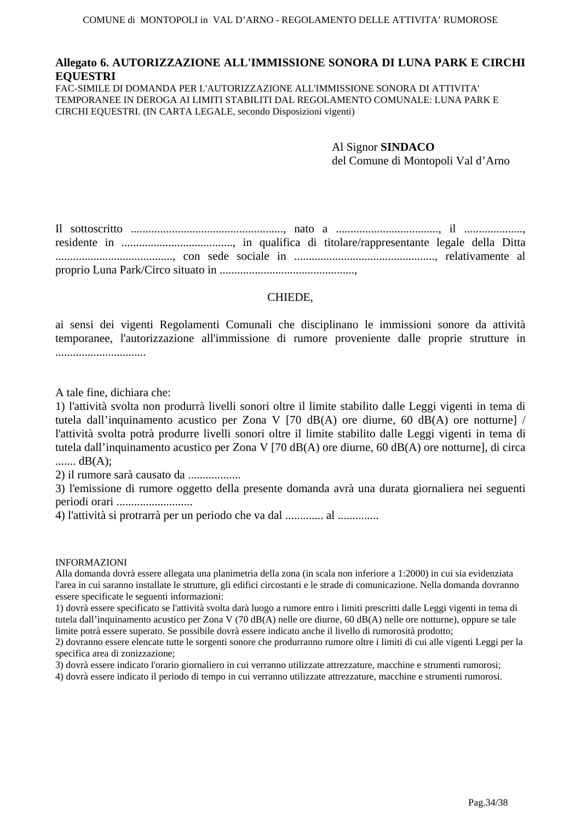### **Allegato 6. AUTORIZZAZIONE ALL'IMMISSIONE SONORA DI LUNA PARK E CIRCHI EQUESTRI**

FAC-SIMILE DI DOMANDA PER L'AUTORIZZAZIONE ALL'IMMISSIONE SONORA DI ATTIVITA' TEMPORANEE IN DEROGA AI LIMITI STABILITI DAL REGOLAMENTO COMUNALE: LUNA PARK E CIRCHI EQUESTRI. (IN CARTA LEGALE, secondo Disposizioni vigenti)

> Al Signor **SINDACO**  del Comune di Montopoli Val d'Arno

Il sottoscritto ...................................................., nato a ..................................., il ...................., residente in ......................................, in qualifica di titolare/rappresentante legale della Ditta ........................................, con sede sociale in ................................................, relativamente al proprio Luna Park/Circo situato in ..............................................,

#### CHIEDE,

ai sensi dei vigenti Regolamenti Comunali che disciplinano le immissioni sonore da attività temporanee, l'autorizzazione all'immissione di rumore proveniente dalle proprie strutture in ...............................

A tale fine, dichiara che:

1) l'attività svolta non produrrà livelli sonori oltre il limite stabilito dalle Leggi vigenti in tema di tutela dall'inquinamento acustico per Zona V [70 dB(A) ore diurne, 60 dB(A) ore notturne] / l'attività svolta potrà produrre livelli sonori oltre il limite stabilito dalle Leggi vigenti in tema di tutela dall'inquinamento acustico per Zona V [70 dB(A) ore diurne, 60 dB(A) ore notturne], di circa ....... dB(A);

2) il rumore sarà causato da ..................

3) l'emissione di rumore oggetto della presente domanda avrà una durata giornaliera nei seguenti periodi orari ..........................

4) l'attività si protrarrà per un periodo che va dal ............. al ..............

#### INFORMAZIONI

Alla domanda dovrà essere allegata una planimetria della zona (in scala non inferiore a 1:2000) in cui sia evidenziata l'area in cui saranno installate le strutture, gli edifici circostanti e le strade di comunicazione. Nella domanda dovranno essere specificate le seguenti informazioni:

1) dovrà essere specificato se l'attività svolta darà luogo a rumore entro i limiti prescritti dalle Leggi vigenti in tema di tutela dall'inquinamento acustico per Zona V (70 dB(A) nelle ore diurne, 60 dB(A) nelle ore notturne), oppure se tale limite potrà essere superato. Se possibile dovrà essere indicato anche il livello di rumorosità prodotto;

2) dovranno essere elencate tutte le sorgenti sonore che produrranno rumore oltre i limiti di cui alle vigenti Leggi per la specifica area di zonizzazione;

3) dovrà essere indicato l'orario giornaliero in cui verranno utilizzate attrezzature, macchine e strumenti rumorosi;

4) dovrà essere indicato il periodo di tempo in cui verranno utilizzate attrezzature, macchine e strumenti rumorosi.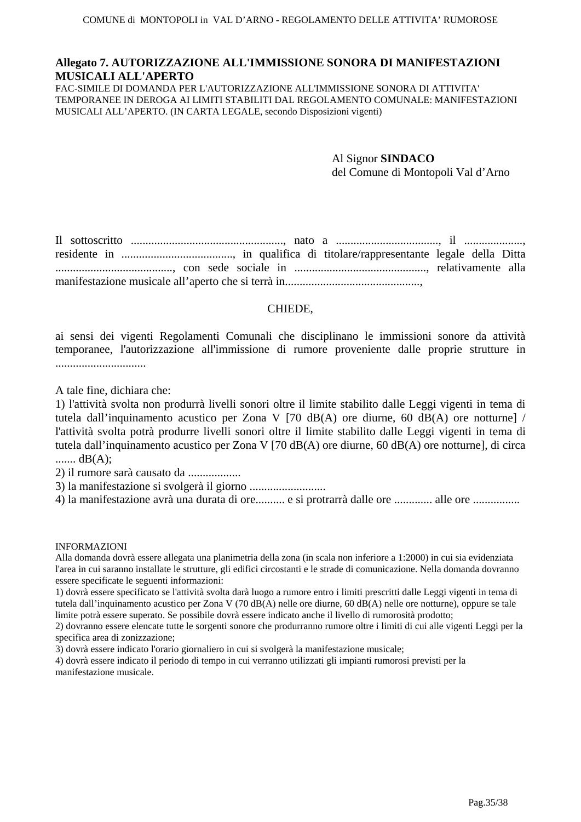#### **Allegato 7. AUTORIZZAZIONE ALL'IMMISSIONE SONORA DI MANIFESTAZIONI MUSICALI ALL'APERTO**

FAC-SIMILE DI DOMANDA PER L'AUTORIZZAZIONE ALL'IMMISSIONE SONORA DI ATTIVITA' TEMPORANEE IN DEROGA AI LIMITI STABILITI DAL REGOLAMENTO COMUNALE: MANIFESTAZIONI MUSICALI ALL'APERTO. (IN CARTA LEGALE, secondo Disposizioni vigenti)

> Al Signor **SINDACO**  del Comune di Montopoli Val d'Arno

Il sottoscritto ...................................................., nato a ..................................., il ...................., residente in ......................................, in qualifica di titolare/rappresentante legale della Ditta ........................................, con sede sociale in ............................................., relativamente alla manifestazione musicale all'aperto che si terrà in..............................................,

#### CHIEDE,

ai sensi dei vigenti Regolamenti Comunali che disciplinano le immissioni sonore da attività temporanee, l'autorizzazione all'immissione di rumore proveniente dalle proprie strutture in ...............................

A tale fine, dichiara che:

1) l'attività svolta non produrrà livelli sonori oltre il limite stabilito dalle Leggi vigenti in tema di tutela dall'inquinamento acustico per Zona V [70 dB(A) ore diurne, 60 dB(A) ore notturne] / l'attività svolta potrà produrre livelli sonori oltre il limite stabilito dalle Leggi vigenti in tema di tutela dall'inquinamento acustico per Zona V [70 dB(A) ore diurne, 60 dB(A) ore notturne], di circa ....... dB(A);

2) il rumore sarà causato da ..................

3) la manifestazione si svolgerà il giorno ..........................

4) la manifestazione avrà una durata di ore.......... e si protrarrà dalle ore ............. alle ore ................

INFORMAZIONI

Alla domanda dovrà essere allegata una planimetria della zona (in scala non inferiore a 1:2000) in cui sia evidenziata l'area in cui saranno installate le strutture, gli edifici circostanti e le strade di comunicazione. Nella domanda dovranno essere specificate le seguenti informazioni:

1) dovrà essere specificato se l'attività svolta darà luogo a rumore entro i limiti prescritti dalle Leggi vigenti in tema di tutela dall'inquinamento acustico per Zona V (70 dB(A) nelle ore diurne, 60 dB(A) nelle ore notturne), oppure se tale limite potrà essere superato. Se possibile dovrà essere indicato anche il livello di rumorosità prodotto;

2) dovranno essere elencate tutte le sorgenti sonore che produrranno rumore oltre i limiti di cui alle vigenti Leggi per la specifica area di zonizzazione;

3) dovrà essere indicato l'orario giornaliero in cui si svolgerà la manifestazione musicale;

4) dovrà essere indicato il periodo di tempo in cui verranno utilizzati gli impianti rumorosi previsti per la manifestazione musicale.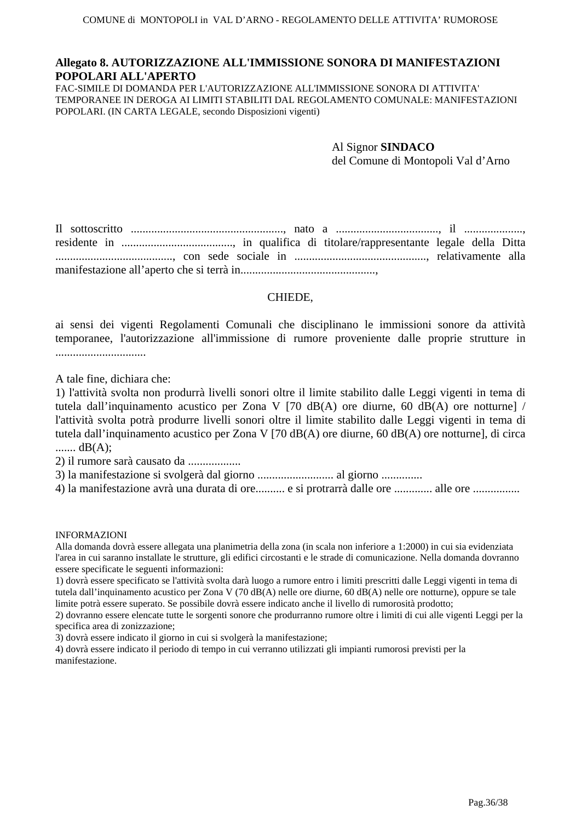### **Allegato 8. AUTORIZZAZIONE ALL'IMMISSIONE SONORA DI MANIFESTAZIONI POPOLARI ALL'APERTO**

FAC-SIMILE DI DOMANDA PER L'AUTORIZZAZIONE ALL'IMMISSIONE SONORA DI ATTIVITA' TEMPORANEE IN DEROGA AI LIMITI STABILITI DAL REGOLAMENTO COMUNALE: MANIFESTAZIONI POPOLARI. (IN CARTA LEGALE, secondo Disposizioni vigenti)

> Al Signor **SINDACO**  del Comune di Montopoli Val d'Arno

Il sottoscritto ...................................................., nato a ..................................., il ...................., residente in ......................................, in qualifica di titolare/rappresentante legale della Ditta ........................................, con sede sociale in ............................................., relativamente alla manifestazione all'aperto che si terrà in..............................................,

#### CHIEDE,

ai sensi dei vigenti Regolamenti Comunali che disciplinano le immissioni sonore da attività temporanee, l'autorizzazione all'immissione di rumore proveniente dalle proprie strutture in ...............................

A tale fine, dichiara che:

1) l'attività svolta non produrrà livelli sonori oltre il limite stabilito dalle Leggi vigenti in tema di tutela dall'inquinamento acustico per Zona V [70 dB(A) ore diurne, 60 dB(A) ore notturne] / l'attività svolta potrà produrre livelli sonori oltre il limite stabilito dalle Leggi vigenti in tema di tutela dall'inquinamento acustico per Zona V [70 dB(A) ore diurne, 60 dB(A) ore notturne], di circa ....... dB(A);

2) il rumore sarà causato da ..................

3) la manifestazione si svolgerà dal giorno .......................... al giorno ..............

4) la manifestazione avrà una durata di ore.......... e si protrarrà dalle ore ............. alle ore ................

#### INFORMAZIONI

Alla domanda dovrà essere allegata una planimetria della zona (in scala non inferiore a 1:2000) in cui sia evidenziata l'area in cui saranno installate le strutture, gli edifici circostanti e le strade di comunicazione. Nella domanda dovranno essere specificate le seguenti informazioni:

1) dovrà essere specificato se l'attività svolta darà luogo a rumore entro i limiti prescritti dalle Leggi vigenti in tema di tutela dall'inquinamento acustico per Zona V (70 dB(A) nelle ore diurne, 60 dB(A) nelle ore notturne), oppure se tale limite potrà essere superato. Se possibile dovrà essere indicato anche il livello di rumorosità prodotto;

2) dovranno essere elencate tutte le sorgenti sonore che produrranno rumore oltre i limiti di cui alle vigenti Leggi per la specifica area di zonizzazione;

3) dovrà essere indicato il giorno in cui si svolgerà la manifestazione;

4) dovrà essere indicato il periodo di tempo in cui verranno utilizzati gli impianti rumorosi previsti per la manifestazione.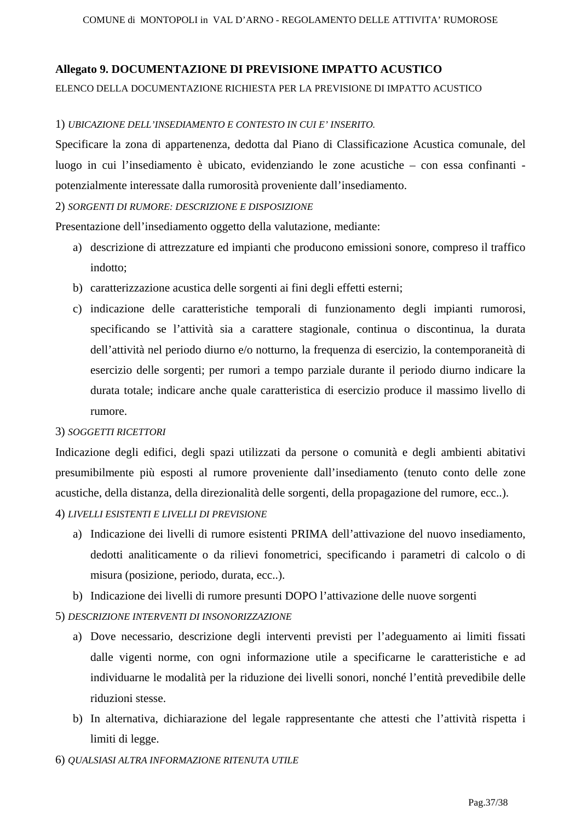### **Allegato 9. DOCUMENTAZIONE DI PREVISIONE IMPATTO ACUSTICO**

#### ELENCO DELLA DOCUMENTAZIONE RICHIESTA PER LA PREVISIONE DI IMPATTO ACUSTICO

#### 1) *UBICAZIONE DELL'INSEDIAMENTO E CONTESTO IN CUI E' INSERITO.*

Specificare la zona di appartenenza, dedotta dal Piano di Classificazione Acustica comunale, del luogo in cui l'insediamento è ubicato, evidenziando le zone acustiche – con essa confinanti potenzialmente interessate dalla rumorosità proveniente dall'insediamento.

#### 2) *SORGENTI DI RUMORE: DESCRIZIONE E DISPOSIZIONE*

Presentazione dell'insediamento oggetto della valutazione, mediante:

- a) descrizione di attrezzature ed impianti che producono emissioni sonore, compreso il traffico indotto;
- b) caratterizzazione acustica delle sorgenti ai fini degli effetti esterni;
- c) indicazione delle caratteristiche temporali di funzionamento degli impianti rumorosi, specificando se l'attività sia a carattere stagionale, continua o discontinua, la durata dell'attività nel periodo diurno e/o notturno, la frequenza di esercizio, la contemporaneità di esercizio delle sorgenti; per rumori a tempo parziale durante il periodo diurno indicare la durata totale; indicare anche quale caratteristica di esercizio produce il massimo livello di rumore.

#### 3) *SOGGETTI RICETTORI*

Indicazione degli edifici, degli spazi utilizzati da persone o comunità e degli ambienti abitativi presumibilmente più esposti al rumore proveniente dall'insediamento (tenuto conto delle zone acustiche, della distanza, della direzionalità delle sorgenti, della propagazione del rumore, ecc..).

### 4) *LIVELLI ESISTENTI E LIVELLI DI PREVISIONE*

- a) Indicazione dei livelli di rumore esistenti PRIMA dell'attivazione del nuovo insediamento, dedotti analiticamente o da rilievi fonometrici, specificando i parametri di calcolo o di misura (posizione, periodo, durata, ecc..).
- b) Indicazione dei livelli di rumore presunti DOPO l'attivazione delle nuove sorgenti

#### 5) *DESCRIZIONE INTERVENTI DI INSONORIZZAZIONE*

- a) Dove necessario, descrizione degli interventi previsti per l'adeguamento ai limiti fissati dalle vigenti norme, con ogni informazione utile a specificarne le caratteristiche e ad individuarne le modalità per la riduzione dei livelli sonori, nonché l'entità prevedibile delle riduzioni stesse.
- b) In alternativa, dichiarazione del legale rappresentante che attesti che l'attività rispetta i limiti di legge.

6) *QUALSIASI ALTRA INFORMAZIONE RITENUTA UTILE*